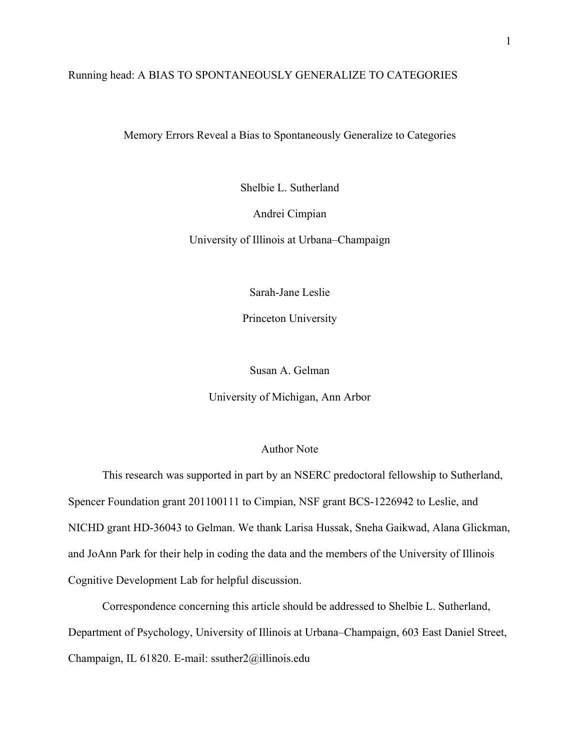## Running head: A BIAS TO SPONTANEOUSLY GENERALIZE TO CATEGORIES

Memory Errors Reveal a Bias to Spontaneously Generalize to Categories

Shelbie L. Sutherland

Andrei Cimpian

University of Illinois at Urbana–Champaign

Sarah-Jane Leslie

Princeton University

Susan A. Gelman

University of Michigan, Ann Arbor

## Author Note

This research was supported in part by an NSERC predoctoral fellowship to Sutherland, Spencer Foundation grant 201100111 to Cimpian, NSF grant BCS-1226942 to Leslie, and NICHD grant HD-36043 to Gelman. We thank Larisa Hussak, Sneha Gaikwad, Alana Glickman, and JoAnn Park for their help in coding the data and the members of the University of Illinois Cognitive Development Lab for helpful discussion.

Correspondence concerning this article should be addressed to Shelbie L. Sutherland, Department of Psychology, University of Illinois at Urbana–Champaign, 603 East Daniel Street, Champaign, IL 61820. E-mail: ssuther2@illinois.edu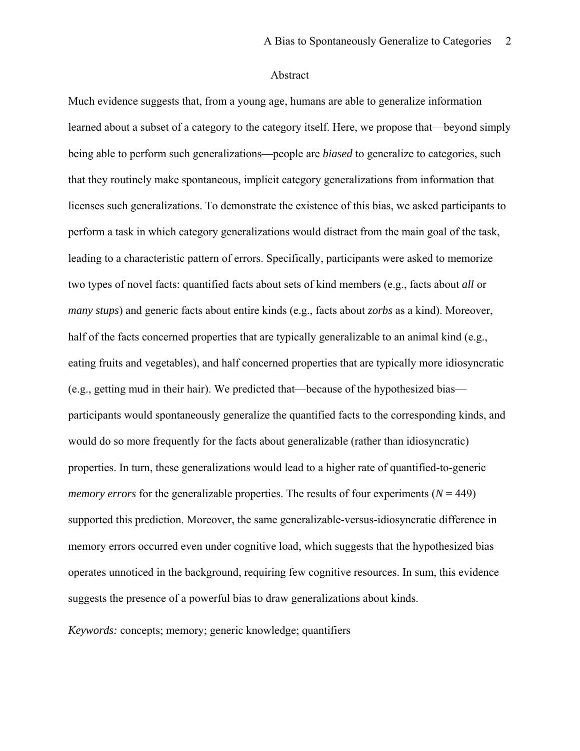#### Abstract

Much evidence suggests that, from a young age, humans are able to generalize information learned about a subset of a category to the category itself. Here, we propose that—beyond simply being able to perform such generalizations—people are *biased* to generalize to categories, such that they routinely make spontaneous, implicit category generalizations from information that licenses such generalizations. To demonstrate the existence of this bias, we asked participants to perform a task in which category generalizations would distract from the main goal of the task, leading to a characteristic pattern of errors. Specifically, participants were asked to memorize two types of novel facts: quantified facts about sets of kind members (e.g., facts about *all* or *many stups*) and generic facts about entire kinds (e.g., facts about *zorbs* as a kind). Moreover, half of the facts concerned properties that are typically generalizable to an animal kind (e.g., eating fruits and vegetables), and half concerned properties that are typically more idiosyncratic (e.g., getting mud in their hair). We predicted that—because of the hypothesized bias participants would spontaneously generalize the quantified facts to the corresponding kinds, and would do so more frequently for the facts about generalizable (rather than idiosyncratic) properties. In turn, these generalizations would lead to a higher rate of quantified-to-generic *memory errors* for the generalizable properties. The results of four experiments  $(N = 449)$ supported this prediction. Moreover, the same generalizable-versus-idiosyncratic difference in memory errors occurred even under cognitive load, which suggests that the hypothesized bias operates unnoticed in the background, requiring few cognitive resources. In sum, this evidence suggests the presence of a powerful bias to draw generalizations about kinds.

*Keywords:* concepts; memory; generic knowledge; quantifiers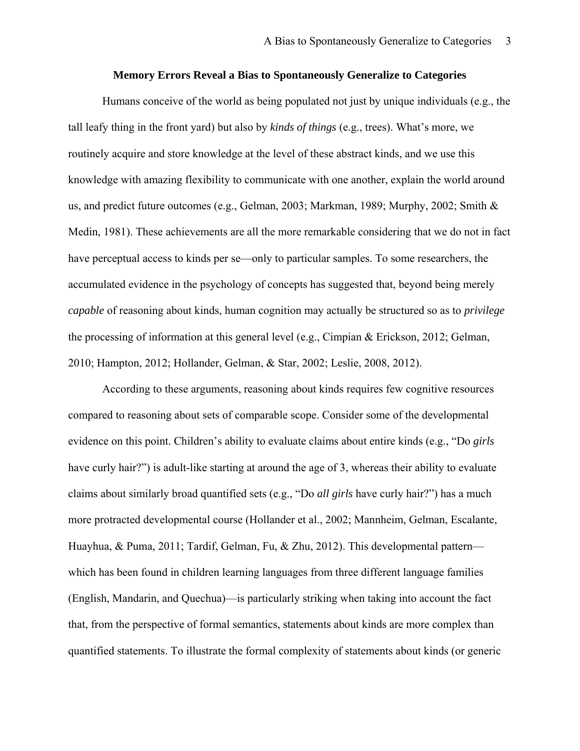## **Memory Errors Reveal a Bias to Spontaneously Generalize to Categories**

 Humans conceive of the world as being populated not just by unique individuals (e.g., the tall leafy thing in the front yard) but also by *kinds of things* (e.g., trees). What's more, we routinely acquire and store knowledge at the level of these abstract kinds, and we use this knowledge with amazing flexibility to communicate with one another, explain the world around us, and predict future outcomes (e.g., Gelman, 2003; Markman, 1989; Murphy, 2002; Smith & Medin, 1981). These achievements are all the more remarkable considering that we do not in fact have perceptual access to kinds per se—only to particular samples. To some researchers, the accumulated evidence in the psychology of concepts has suggested that, beyond being merely *capable* of reasoning about kinds, human cognition may actually be structured so as to *privilege* the processing of information at this general level (e.g., Cimpian & Erickson, 2012; Gelman, 2010; Hampton, 2012; Hollander, Gelman, & Star, 2002; Leslie, 2008, 2012).

According to these arguments, reasoning about kinds requires few cognitive resources compared to reasoning about sets of comparable scope. Consider some of the developmental evidence on this point. Children's ability to evaluate claims about entire kinds (e.g., "Do *girls* have curly hair?") is adult-like starting at around the age of 3, whereas their ability to evaluate claims about similarly broad quantified sets (e.g., "Do *all girls* have curly hair?") has a much more protracted developmental course (Hollander et al., 2002; Mannheim, Gelman, Escalante, Huayhua, & Puma, 2011; Tardif, Gelman, Fu, & Zhu, 2012). This developmental pattern which has been found in children learning languages from three different language families (English, Mandarin, and Quechua)—is particularly striking when taking into account the fact that, from the perspective of formal semantics, statements about kinds are more complex than quantified statements. To illustrate the formal complexity of statements about kinds (or generic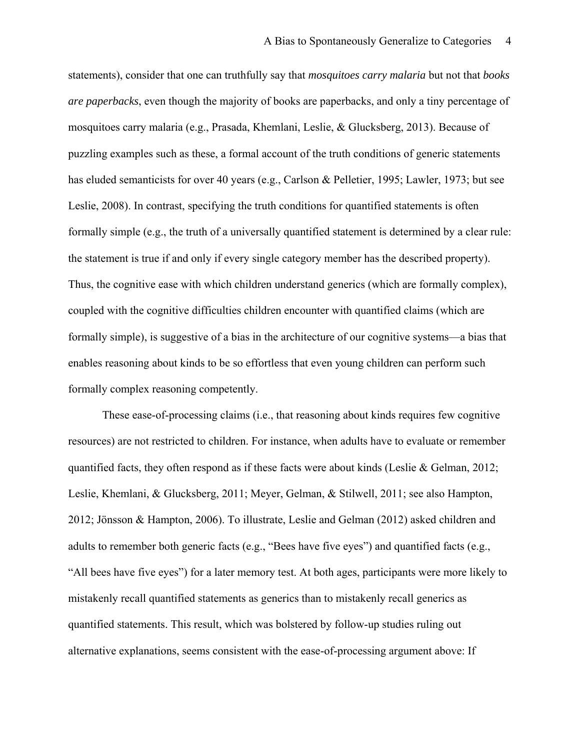statements), consider that one can truthfully say that *mosquitoes carry malaria* but not that *books are paperbacks*, even though the majority of books are paperbacks, and only a tiny percentage of mosquitoes carry malaria (e.g., Prasada, Khemlani, Leslie, & Glucksberg, 2013). Because of puzzling examples such as these, a formal account of the truth conditions of generic statements has eluded semanticists for over 40 years (e.g., Carlson & Pelletier, 1995; Lawler, 1973; but see Leslie, 2008). In contrast, specifying the truth conditions for quantified statements is often formally simple (e.g., the truth of a universally quantified statement is determined by a clear rule: the statement is true if and only if every single category member has the described property). Thus, the cognitive ease with which children understand generics (which are formally complex), coupled with the cognitive difficulties children encounter with quantified claims (which are formally simple), is suggestive of a bias in the architecture of our cognitive systems—a bias that enables reasoning about kinds to be so effortless that even young children can perform such formally complex reasoning competently.

These ease-of-processing claims (i.e., that reasoning about kinds requires few cognitive resources) are not restricted to children. For instance, when adults have to evaluate or remember quantified facts, they often respond as if these facts were about kinds (Leslie & Gelman, 2012; Leslie, Khemlani, & Glucksberg, 2011; Meyer, Gelman, & Stilwell, 2011; see also Hampton, 2012; Jönsson & Hampton, 2006). To illustrate, Leslie and Gelman (2012) asked children and adults to remember both generic facts (e.g., "Bees have five eyes") and quantified facts (e.g., "All bees have five eyes") for a later memory test. At both ages, participants were more likely to mistakenly recall quantified statements as generics than to mistakenly recall generics as quantified statements. This result, which was bolstered by follow-up studies ruling out alternative explanations, seems consistent with the ease-of-processing argument above: If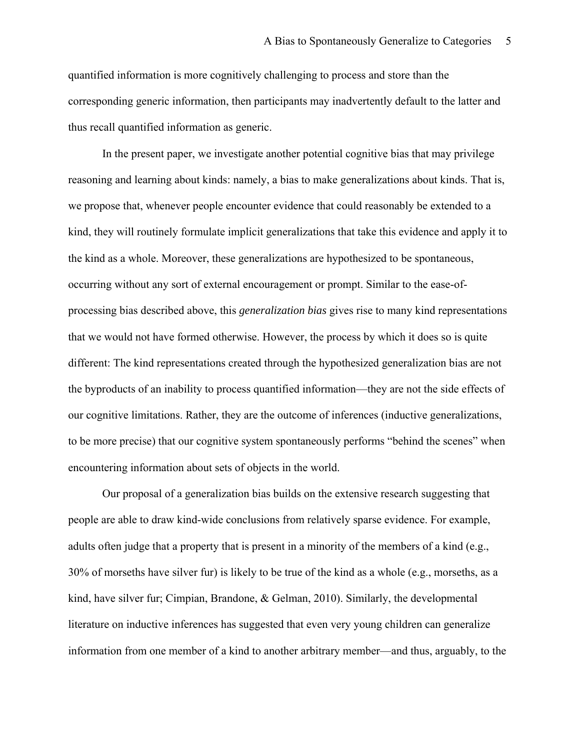quantified information is more cognitively challenging to process and store than the corresponding generic information, then participants may inadvertently default to the latter and thus recall quantified information as generic.

In the present paper, we investigate another potential cognitive bias that may privilege reasoning and learning about kinds: namely, a bias to make generalizations about kinds. That is, we propose that, whenever people encounter evidence that could reasonably be extended to a kind, they will routinely formulate implicit generalizations that take this evidence and apply it to the kind as a whole. Moreover, these generalizations are hypothesized to be spontaneous, occurring without any sort of external encouragement or prompt. Similar to the ease-ofprocessing bias described above, this *generalization bias* gives rise to many kind representations that we would not have formed otherwise. However, the process by which it does so is quite different: The kind representations created through the hypothesized generalization bias are not the byproducts of an inability to process quantified information—they are not the side effects of our cognitive limitations. Rather, they are the outcome of inferences (inductive generalizations, to be more precise) that our cognitive system spontaneously performs "behind the scenes" when encountering information about sets of objects in the world.

Our proposal of a generalization bias builds on the extensive research suggesting that people are able to draw kind-wide conclusions from relatively sparse evidence. For example, adults often judge that a property that is present in a minority of the members of a kind (e.g., 30% of morseths have silver fur) is likely to be true of the kind as a whole (e.g., morseths, as a kind, have silver fur; Cimpian, Brandone, & Gelman, 2010). Similarly, the developmental literature on inductive inferences has suggested that even very young children can generalize information from one member of a kind to another arbitrary member—and thus, arguably, to the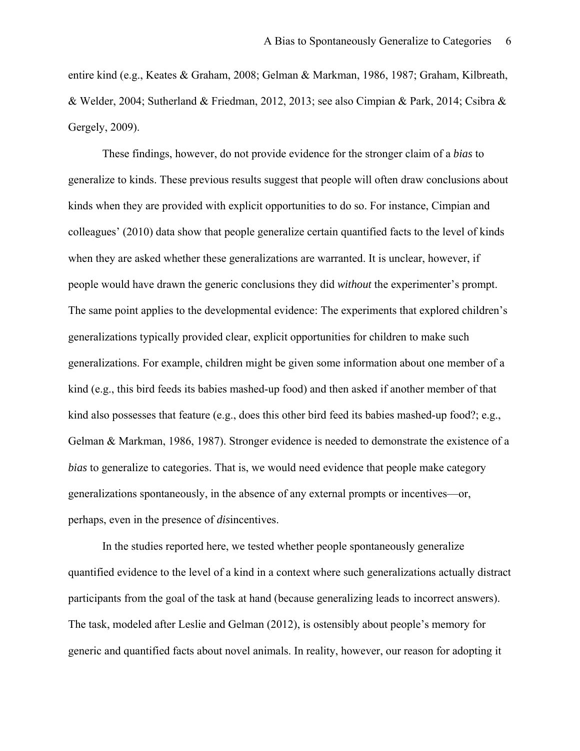entire kind (e.g., Keates & Graham, 2008; Gelman & Markman, 1986, 1987; Graham, Kilbreath, & Welder, 2004; Sutherland & Friedman, 2012, 2013; see also Cimpian & Park, 2014; Csibra & Gergely, 2009).

These findings, however, do not provide evidence for the stronger claim of a *bias* to generalize to kinds. These previous results suggest that people will often draw conclusions about kinds when they are provided with explicit opportunities to do so. For instance, Cimpian and colleagues' (2010) data show that people generalize certain quantified facts to the level of kinds when they are asked whether these generalizations are warranted. It is unclear, however, if people would have drawn the generic conclusions they did *without* the experimenter's prompt. The same point applies to the developmental evidence: The experiments that explored children's generalizations typically provided clear, explicit opportunities for children to make such generalizations. For example, children might be given some information about one member of a kind (e.g., this bird feeds its babies mashed-up food) and then asked if another member of that kind also possesses that feature (e.g., does this other bird feed its babies mashed-up food?; e.g., Gelman & Markman, 1986, 1987). Stronger evidence is needed to demonstrate the existence of a *bias* to generalize to categories. That is, we would need evidence that people make category generalizations spontaneously, in the absence of any external prompts or incentives—or, perhaps, even in the presence of *dis*incentives.

In the studies reported here, we tested whether people spontaneously generalize quantified evidence to the level of a kind in a context where such generalizations actually distract participants from the goal of the task at hand (because generalizing leads to incorrect answers). The task, modeled after Leslie and Gelman (2012), is ostensibly about people's memory for generic and quantified facts about novel animals. In reality, however, our reason for adopting it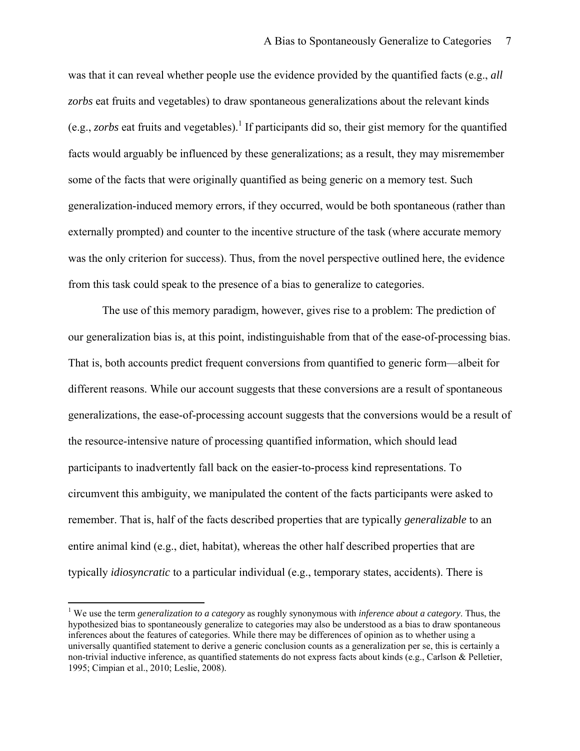was that it can reveal whether people use the evidence provided by the quantified facts (e.g., *all zorbs* eat fruits and vegetables) to draw spontaneous generalizations about the relevant kinds (e.g., *zorbs* eat fruits and vegetables).<sup>1</sup> If participants did so, their gist memory for the quantified facts would arguably be influenced by these generalizations; as a result, they may misremember some of the facts that were originally quantified as being generic on a memory test. Such generalization-induced memory errors, if they occurred, would be both spontaneous (rather than externally prompted) and counter to the incentive structure of the task (where accurate memory was the only criterion for success). Thus, from the novel perspective outlined here, the evidence from this task could speak to the presence of a bias to generalize to categories.

The use of this memory paradigm, however, gives rise to a problem: The prediction of our generalization bias is, at this point, indistinguishable from that of the ease-of-processing bias. That is, both accounts predict frequent conversions from quantified to generic form—albeit for different reasons. While our account suggests that these conversions are a result of spontaneous generalizations, the ease-of-processing account suggests that the conversions would be a result of the resource-intensive nature of processing quantified information, which should lead participants to inadvertently fall back on the easier-to-process kind representations. To circumvent this ambiguity, we manipulated the content of the facts participants were asked to remember. That is, half of the facts described properties that are typically *generalizable* to an entire animal kind (e.g., diet, habitat), whereas the other half described properties that are typically *idiosyncratic* to a particular individual (e.g., temporary states, accidents). There is

<sup>1</sup> We use the term *generalization to a category* as roughly synonymous with *inference about a category*. Thus, the hypothesized bias to spontaneously generalize to categories may also be understood as a bias to draw spontaneous inferences about the features of categories. While there may be differences of opinion as to whether using a universally quantified statement to derive a generic conclusion counts as a generalization per se, this is certainly a non-trivial inductive inference, as quantified statements do not express facts about kinds (e.g., Carlson & Pelletier, 1995; Cimpian et al., 2010; Leslie, 2008).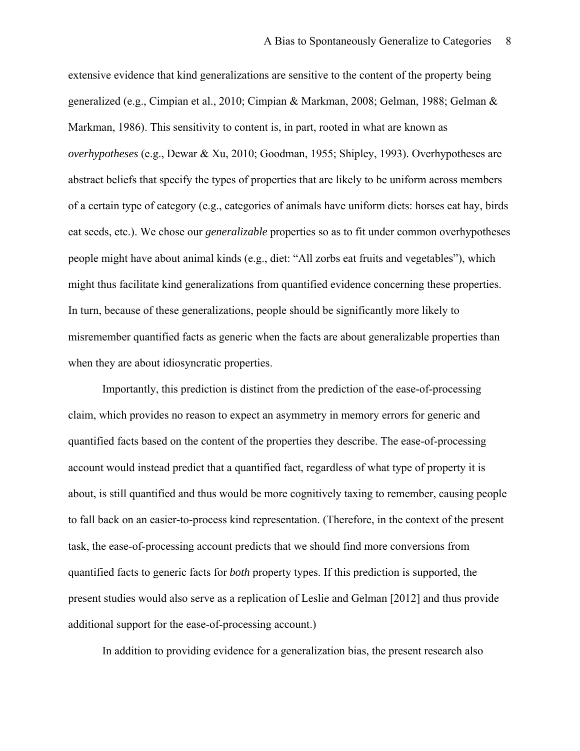extensive evidence that kind generalizations are sensitive to the content of the property being generalized (e.g., Cimpian et al., 2010; Cimpian & Markman, 2008; Gelman, 1988; Gelman & Markman, 1986). This sensitivity to content is, in part, rooted in what are known as *overhypotheses* (e.g., Dewar & Xu, 2010; Goodman, 1955; Shipley, 1993). Overhypotheses are abstract beliefs that specify the types of properties that are likely to be uniform across members of a certain type of category (e.g., categories of animals have uniform diets: horses eat hay, birds eat seeds, etc.). We chose our *generalizable* properties so as to fit under common overhypotheses people might have about animal kinds (e.g., diet: "All zorbs eat fruits and vegetables"), which might thus facilitate kind generalizations from quantified evidence concerning these properties. In turn, because of these generalizations, people should be significantly more likely to misremember quantified facts as generic when the facts are about generalizable properties than when they are about idiosyncratic properties.

Importantly, this prediction is distinct from the prediction of the ease-of-processing claim, which provides no reason to expect an asymmetry in memory errors for generic and quantified facts based on the content of the properties they describe. The ease-of-processing account would instead predict that a quantified fact, regardless of what type of property it is about, is still quantified and thus would be more cognitively taxing to remember, causing people to fall back on an easier-to-process kind representation. (Therefore, in the context of the present task, the ease-of-processing account predicts that we should find more conversions from quantified facts to generic facts for *both* property types. If this prediction is supported, the present studies would also serve as a replication of Leslie and Gelman [2012] and thus provide additional support for the ease-of-processing account.)

In addition to providing evidence for a generalization bias, the present research also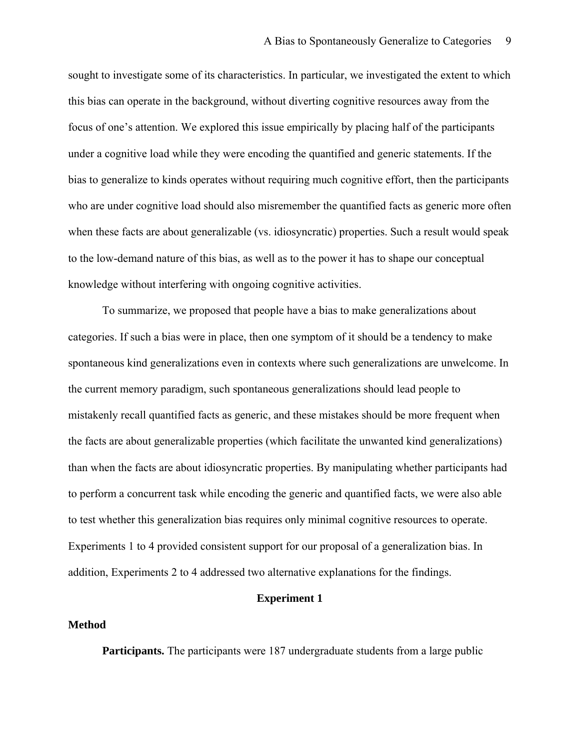sought to investigate some of its characteristics. In particular, we investigated the extent to which this bias can operate in the background, without diverting cognitive resources away from the focus of one's attention. We explored this issue empirically by placing half of the participants under a cognitive load while they were encoding the quantified and generic statements. If the bias to generalize to kinds operates without requiring much cognitive effort, then the participants who are under cognitive load should also misremember the quantified facts as generic more often when these facts are about generalizable (vs. idiosyncratic) properties. Such a result would speak to the low-demand nature of this bias, as well as to the power it has to shape our conceptual knowledge without interfering with ongoing cognitive activities.

 To summarize, we proposed that people have a bias to make generalizations about categories. If such a bias were in place, then one symptom of it should be a tendency to make spontaneous kind generalizations even in contexts where such generalizations are unwelcome. In the current memory paradigm, such spontaneous generalizations should lead people to mistakenly recall quantified facts as generic, and these mistakes should be more frequent when the facts are about generalizable properties (which facilitate the unwanted kind generalizations) than when the facts are about idiosyncratic properties. By manipulating whether participants had to perform a concurrent task while encoding the generic and quantified facts, we were also able to test whether this generalization bias requires only minimal cognitive resources to operate. Experiments 1 to 4 provided consistent support for our proposal of a generalization bias. In addition, Experiments 2 to 4 addressed two alternative explanations for the findings.

#### **Experiment 1**

#### **Method**

**Participants.** The participants were 187 undergraduate students from a large public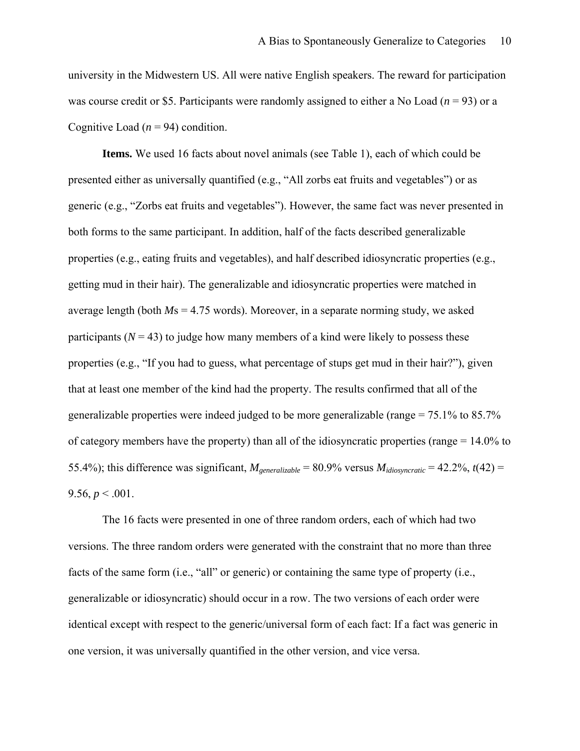university in the Midwestern US. All were native English speakers. The reward for participation was course credit or \$5. Participants were randomly assigned to either a No Load ( $n = 93$ ) or a Cognitive Load  $(n = 94)$  condition.

 **Items.** We used 16 facts about novel animals (see Table 1), each of which could be presented either as universally quantified (e.g., "All zorbs eat fruits and vegetables") or as generic (e.g., "Zorbs eat fruits and vegetables"). However, the same fact was never presented in both forms to the same participant. In addition, half of the facts described generalizable properties (e.g., eating fruits and vegetables), and half described idiosyncratic properties (e.g., getting mud in their hair). The generalizable and idiosyncratic properties were matched in average length (both *M*s = 4.75 words). Moreover, in a separate norming study, we asked participants ( $N = 43$ ) to judge how many members of a kind were likely to possess these properties (e.g., "If you had to guess, what percentage of stups get mud in their hair?"), given that at least one member of the kind had the property. The results confirmed that all of the generalizable properties were indeed judged to be more generalizable (range = 75.1% to 85.7% of category members have the property) than all of the idiosyncratic properties (range = 14.0% to 55.4%); this difference was significant,  $M_{generalizable} = 80.9\%$  versus  $M_{idiosyncratic} = 42.2\%, t(42) =$ 9.56,  $p < .001$ .

 The 16 facts were presented in one of three random orders, each of which had two versions. The three random orders were generated with the constraint that no more than three facts of the same form (i.e., "all" or generic) or containing the same type of property (i.e., generalizable or idiosyncratic) should occur in a row. The two versions of each order were identical except with respect to the generic/universal form of each fact: If a fact was generic in one version, it was universally quantified in the other version, and vice versa.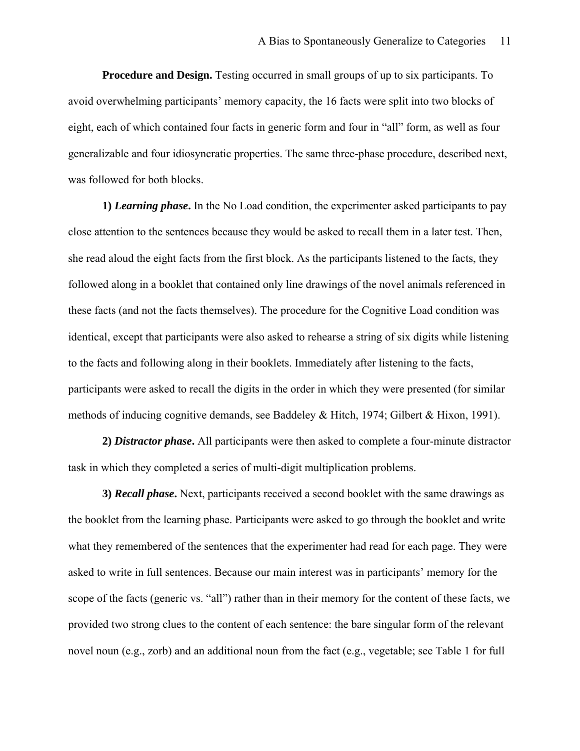**Procedure and Design.** Testing occurred in small groups of up to six participants. To avoid overwhelming participants' memory capacity, the 16 facts were split into two blocks of eight, each of which contained four facts in generic form and four in "all" form, as well as four generalizable and four idiosyncratic properties. The same three-phase procedure, described next, was followed for both blocks.

 **1)** *Learning phase***.** In the No Load condition, the experimenter asked participants to pay close attention to the sentences because they would be asked to recall them in a later test. Then, she read aloud the eight facts from the first block. As the participants listened to the facts, they followed along in a booklet that contained only line drawings of the novel animals referenced in these facts (and not the facts themselves). The procedure for the Cognitive Load condition was identical, except that participants were also asked to rehearse a string of six digits while listening to the facts and following along in their booklets. Immediately after listening to the facts, participants were asked to recall the digits in the order in which they were presented (for similar methods of inducing cognitive demands, see Baddeley & Hitch, 1974; Gilbert & Hixon, 1991).

**2)** *Distractor phase***.** All participants were then asked to complete a four-minute distractor task in which they completed a series of multi-digit multiplication problems.

**3)** *Recall phase***.** Next, participants received a second booklet with the same drawings as the booklet from the learning phase. Participants were asked to go through the booklet and write what they remembered of the sentences that the experimenter had read for each page. They were asked to write in full sentences. Because our main interest was in participants' memory for the scope of the facts (generic vs. "all") rather than in their memory for the content of these facts, we provided two strong clues to the content of each sentence: the bare singular form of the relevant novel noun (e.g., zorb) and an additional noun from the fact (e.g., vegetable; see Table 1 for full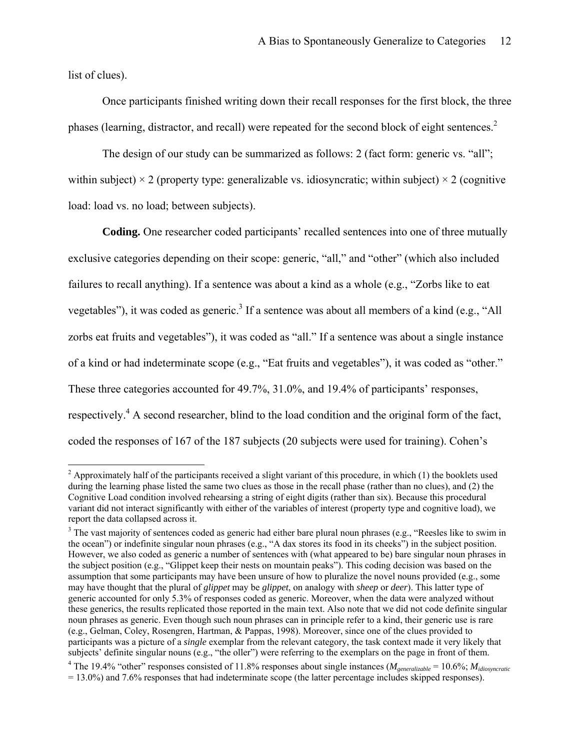list of clues).

Once participants finished writing down their recall responses for the first block, the three phases (learning, distractor, and recall) were repeated for the second block of eight sentences. $2$ 

The design of our study can be summarized as follows: 2 (fact form: generic vs. "all"; within subject)  $\times$  2 (property type: generalizable vs. idiosyncratic; within subject)  $\times$  2 (cognitive load: load vs. no load; between subjects).

 **Coding.** One researcher coded participants' recalled sentences into one of three mutually exclusive categories depending on their scope: generic, "all," and "other" (which also included failures to recall anything). If a sentence was about a kind as a whole (e.g., "Zorbs like to eat vegetables"), it was coded as generic.<sup>3</sup> If a sentence was about all members of a kind (e.g., "All zorbs eat fruits and vegetables"), it was coded as "all." If a sentence was about a single instance of a kind or had indeterminate scope (e.g., "Eat fruits and vegetables"), it was coded as "other." These three categories accounted for 49.7%, 31.0%, and 19.4% of participants' responses, respectively.<sup>4</sup> A second researcher, blind to the load condition and the original form of the fact, coded the responses of 167 of the 187 subjects (20 subjects were used for training). Cohen's

<sup>&</sup>lt;sup>2</sup> Approximately half of the participants received a slight variant of this procedure, in which (1) the booklets used during the learning phase listed the same two clues as those in the recall phase (rather than no clues), and (2) the Cognitive Load condition involved rehearsing a string of eight digits (rather than six). Because this procedural variant did not interact significantly with either of the variables of interest (property type and cognitive load), we report the data collapsed across it.

 $3$  The vast majority of sentences coded as generic had either bare plural noun phrases (e.g., "Reesles like to swim in the ocean") or indefinite singular noun phrases (e.g., "A dax stores its food in its cheeks") in the subject position. However, we also coded as generic a number of sentences with (what appeared to be) bare singular noun phrases in the subject position (e.g., "Glippet keep their nests on mountain peaks"). This coding decision was based on the assumption that some participants may have been unsure of how to pluralize the novel nouns provided (e.g., some may have thought that the plural of *glippet* may be *glippet*, on analogy with *sheep* or *deer*). This latter type of generic accounted for only 5.3% of responses coded as generic. Moreover, when the data were analyzed without these generics, the results replicated those reported in the main text. Also note that we did not code definite singular noun phrases as generic. Even though such noun phrases can in principle refer to a kind, their generic use is rare (e.g., Gelman, Coley, Rosengren, Hartman, & Pappas, 1998). Moreover, since one of the clues provided to participants was a picture of a *single* exemplar from the relevant category, the task context made it very likely that subjects' definite singular nouns (e.g., "the oller") were referring to the exemplars on the page in front of them.

<sup>&</sup>lt;sup>4</sup> The 19.4% "other" responses consisted of 11.8% responses about single instances ( $M_{generalizable} = 10.6\%$ ;  $M_{idiosyncratic}$  $= 13.0\%$ ) and 7.6% responses that had indeterminate scope (the latter percentage includes skipped responses).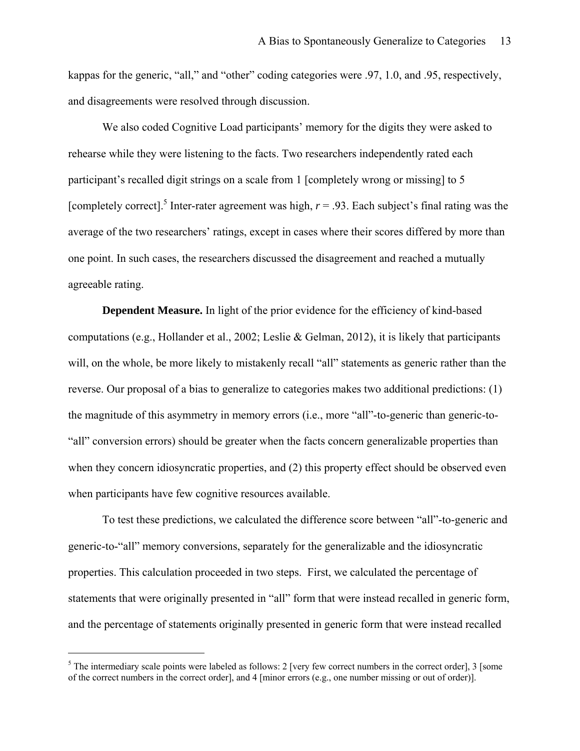kappas for the generic, "all," and "other" coding categories were .97, 1.0, and .95, respectively, and disagreements were resolved through discussion.

We also coded Cognitive Load participants' memory for the digits they were asked to rehearse while they were listening to the facts. Two researchers independently rated each participant's recalled digit strings on a scale from 1 [completely wrong or missing] to 5 [completely correct].<sup>5</sup> Inter-rater agreement was high,  $r = .93$ . Each subject's final rating was the average of the two researchers' ratings, except in cases where their scores differed by more than one point. In such cases, the researchers discussed the disagreement and reached a mutually agreeable rating.

**Dependent Measure.** In light of the prior evidence for the efficiency of kind-based computations (e.g., Hollander et al., 2002; Leslie & Gelman, 2012), it is likely that participants will, on the whole, be more likely to mistakenly recall "all" statements as generic rather than the reverse. Our proposal of a bias to generalize to categories makes two additional predictions: (1) the magnitude of this asymmetry in memory errors (i.e., more "all"-to-generic than generic-to- "all" conversion errors) should be greater when the facts concern generalizable properties than when they concern idiosyncratic properties, and (2) this property effect should be observed even when participants have few cognitive resources available.

To test these predictions, we calculated the difference score between "all"-to-generic and generic-to-"all" memory conversions, separately for the generalizable and the idiosyncratic properties. This calculation proceeded in two steps. First, we calculated the percentage of statements that were originally presented in "all" form that were instead recalled in generic form, and the percentage of statements originally presented in generic form that were instead recalled

 $<sup>5</sup>$  The intermediary scale points were labeled as follows: 2 [very few correct numbers in the correct order], 3 [some</sup> of the correct numbers in the correct order], and 4 [minor errors (e.g., one number missing or out of order)].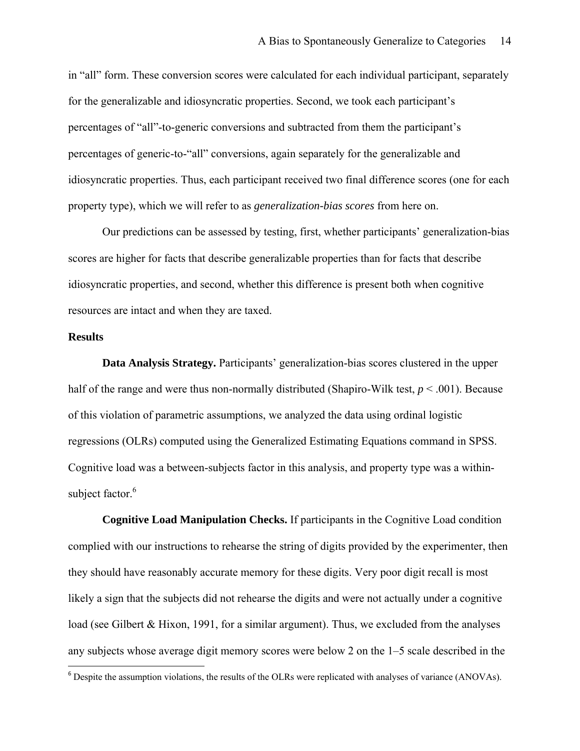in "all" form. These conversion scores were calculated for each individual participant, separately for the generalizable and idiosyncratic properties. Second, we took each participant's percentages of "all"-to-generic conversions and subtracted from them the participant's percentages of generic-to-"all" conversions, again separately for the generalizable and idiosyncratic properties. Thus, each participant received two final difference scores (one for each property type), which we will refer to as *generalization-bias scores* from here on.

 Our predictions can be assessed by testing, first, whether participants' generalization-bias scores are higher for facts that describe generalizable properties than for facts that describe idiosyncratic properties, and second, whether this difference is present both when cognitive resources are intact and when they are taxed.

## **Results**

**Data Analysis Strategy.** Participants' generalization-bias scores clustered in the upper half of the range and were thus non-normally distributed (Shapiro-Wilk test,  $p < .001$ ). Because of this violation of parametric assumptions, we analyzed the data using ordinal logistic regressions (OLRs) computed using the Generalized Estimating Equations command in SPSS. Cognitive load was a between-subjects factor in this analysis, and property type was a withinsubject factor.<sup>6</sup>

 **Cognitive Load Manipulation Checks.** If participants in the Cognitive Load condition complied with our instructions to rehearse the string of digits provided by the experimenter, then they should have reasonably accurate memory for these digits. Very poor digit recall is most likely a sign that the subjects did not rehearse the digits and were not actually under a cognitive load (see Gilbert & Hixon, 1991, for a similar argument). Thus, we excluded from the analyses any subjects whose average digit memory scores were below 2 on the 1–5 scale described in the

<sup>&</sup>lt;sup>6</sup> Despite the assumption violations, the results of the OLRs were replicated with analyses of variance (ANOVAs).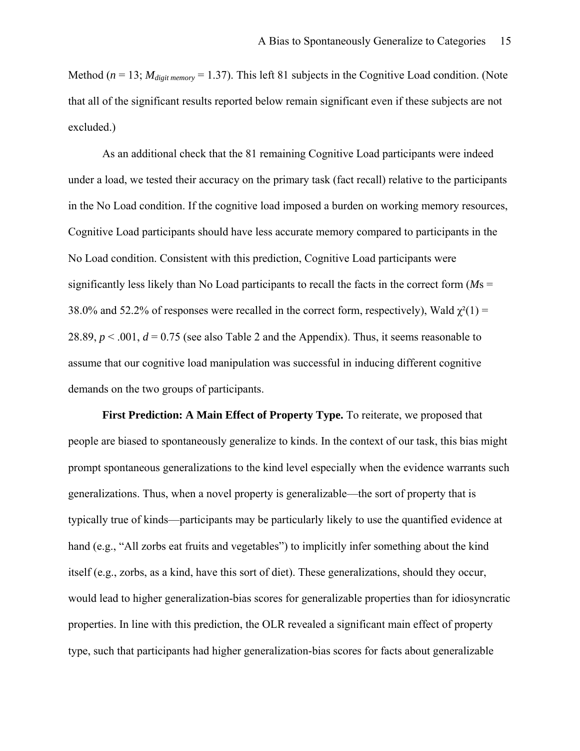Method ( $n = 13$ ;  $M_{\text{digit memory}} = 1.37$ ). This left 81 subjects in the Cognitive Load condition. (Note that all of the significant results reported below remain significant even if these subjects are not excluded.)

 As an additional check that the 81 remaining Cognitive Load participants were indeed under a load, we tested their accuracy on the primary task (fact recall) relative to the participants in the No Load condition. If the cognitive load imposed a burden on working memory resources, Cognitive Load participants should have less accurate memory compared to participants in the No Load condition. Consistent with this prediction, Cognitive Load participants were significantly less likely than No Load participants to recall the facts in the correct form (*M*s = 38.0% and 52.2% of responses were recalled in the correct form, respectively), Wald  $\gamma^2(1)$  = 28.89,  $p < .001$ ,  $d = 0.75$  (see also Table 2 and the Appendix). Thus, it seems reasonable to assume that our cognitive load manipulation was successful in inducing different cognitive demands on the two groups of participants.

**First Prediction: A Main Effect of Property Type.** To reiterate, we proposed that people are biased to spontaneously generalize to kinds. In the context of our task, this bias might prompt spontaneous generalizations to the kind level especially when the evidence warrants such generalizations. Thus, when a novel property is generalizable—the sort of property that is typically true of kinds—participants may be particularly likely to use the quantified evidence at hand (e.g., "All zorbs eat fruits and vegetables") to implicitly infer something about the kind itself (e.g., zorbs, as a kind, have this sort of diet). These generalizations, should they occur, would lead to higher generalization-bias scores for generalizable properties than for idiosyncratic properties. In line with this prediction, the OLR revealed a significant main effect of property type, such that participants had higher generalization-bias scores for facts about generalizable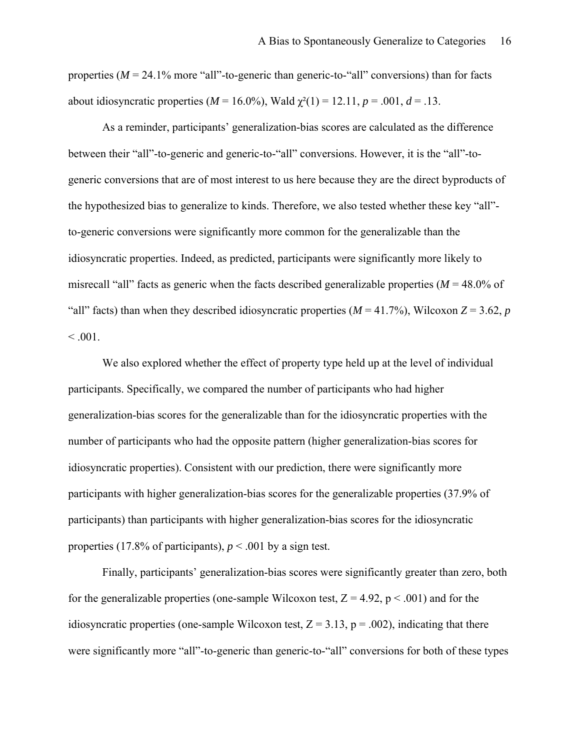properties (*M* = 24.1% more "all"-to-generic than generic-to-"all" conversions) than for facts about idiosyncratic properties ( $M = 16.0\%$ ), Wald  $\chi^2(1) = 12.11$ ,  $p = .001$ ,  $d = .13$ .

As a reminder, participants' generalization-bias scores are calculated as the difference between their "all"-to-generic and generic-to-"all" conversions. However, it is the "all"-togeneric conversions that are of most interest to us here because they are the direct byproducts of the hypothesized bias to generalize to kinds. Therefore, we also tested whether these key "all" to-generic conversions were significantly more common for the generalizable than the idiosyncratic properties. Indeed, as predicted, participants were significantly more likely to misrecall "all" facts as generic when the facts described generalizable properties ( $M = 48.0\%$  of "all" facts) than when they described idiosyncratic properties  $(M = 41.7\%)$ , Wilcoxon  $Z = 3.62$ , *p*  $< 0.001$ .

We also explored whether the effect of property type held up at the level of individual participants. Specifically, we compared the number of participants who had higher generalization-bias scores for the generalizable than for the idiosyncratic properties with the number of participants who had the opposite pattern (higher generalization-bias scores for idiosyncratic properties). Consistent with our prediction, there were significantly more participants with higher generalization-bias scores for the generalizable properties (37.9% of participants) than participants with higher generalization-bias scores for the idiosyncratic properties (17.8% of participants),  $p < .001$  by a sign test.

Finally, participants' generalization-bias scores were significantly greater than zero, both for the generalizable properties (one-sample Wilcoxon test,  $Z = 4.92$ ,  $p < .001$ ) and for the idiosyncratic properties (one-sample Wilcoxon test,  $Z = 3.13$ ,  $p = .002$ ), indicating that there were significantly more "all"-to-generic than generic-to-"all" conversions for both of these types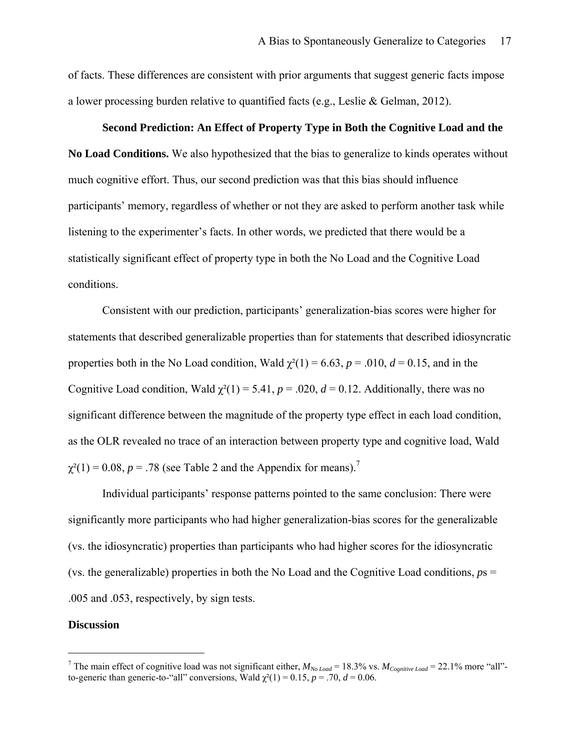of facts. These differences are consistent with prior arguments that suggest generic facts impose a lower processing burden relative to quantified facts (e.g., Leslie & Gelman, 2012).

#### **Second Prediction: An Effect of Property Type in Both the Cognitive Load and the**

**No Load Conditions.** We also hypothesized that the bias to generalize to kinds operates without much cognitive effort. Thus, our second prediction was that this bias should influence participants' memory, regardless of whether or not they are asked to perform another task while listening to the experimenter's facts. In other words, we predicted that there would be a statistically significant effect of property type in both the No Load and the Cognitive Load conditions.

Consistent with our prediction, participants' generalization-bias scores were higher for statements that described generalizable properties than for statements that described idiosyncratic properties both in the No Load condition, Wald  $\chi^2(1) = 6.63$ ,  $p = .010$ ,  $d = 0.15$ , and in the Cognitive Load condition, Wald  $\chi^2(1) = 5.41$ ,  $p = .020$ ,  $d = 0.12$ . Additionally, there was no significant difference between the magnitude of the property type effect in each load condition, as the OLR revealed no trace of an interaction between property type and cognitive load, Wald  $\gamma^2(1) = 0.08$ ,  $p = .78$  (see Table 2 and the Appendix for means).<sup>7</sup>

Individual participants' response patterns pointed to the same conclusion: There were significantly more participants who had higher generalization-bias scores for the generalizable (vs. the idiosyncratic) properties than participants who had higher scores for the idiosyncratic (vs. the generalizable) properties in both the No Load and the Cognitive Load conditions,  $p_s =$ .005 and .053, respectively, by sign tests.

## **Discussion**

<sup>&</sup>lt;sup>7</sup> The main effect of cognitive load was not significant either,  $M_{No\ Load} = 18.3\%$  vs.  $M_{Cogniive\ Load} = 22.1\%$  more "all"to-generic than generic-to-"all" conversions, Wald  $\chi^2(1) = 0.15$ ,  $p = .70$ ,  $d = 0.06$ .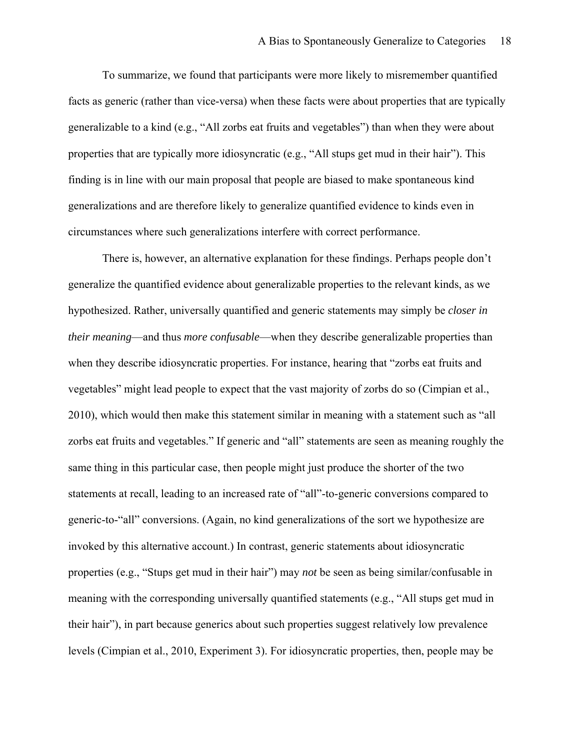To summarize, we found that participants were more likely to misremember quantified facts as generic (rather than vice-versa) when these facts were about properties that are typically generalizable to a kind (e.g., "All zorbs eat fruits and vegetables") than when they were about properties that are typically more idiosyncratic (e.g., "All stups get mud in their hair"). This finding is in line with our main proposal that people are biased to make spontaneous kind generalizations and are therefore likely to generalize quantified evidence to kinds even in circumstances where such generalizations interfere with correct performance.

There is, however, an alternative explanation for these findings. Perhaps people don't generalize the quantified evidence about generalizable properties to the relevant kinds, as we hypothesized. Rather, universally quantified and generic statements may simply be *closer in their meaning*—and thus *more confusable*—when they describe generalizable properties than when they describe idiosyncratic properties. For instance, hearing that "zorbs eat fruits and vegetables" might lead people to expect that the vast majority of zorbs do so (Cimpian et al., 2010), which would then make this statement similar in meaning with a statement such as "all zorbs eat fruits and vegetables." If generic and "all" statements are seen as meaning roughly the same thing in this particular case, then people might just produce the shorter of the two statements at recall, leading to an increased rate of "all"-to-generic conversions compared to generic-to-"all" conversions. (Again, no kind generalizations of the sort we hypothesize are invoked by this alternative account.) In contrast, generic statements about idiosyncratic properties (e.g., "Stups get mud in their hair") may *not* be seen as being similar/confusable in meaning with the corresponding universally quantified statements (e.g., "All stups get mud in their hair"), in part because generics about such properties suggest relatively low prevalence levels (Cimpian et al., 2010, Experiment 3). For idiosyncratic properties, then, people may be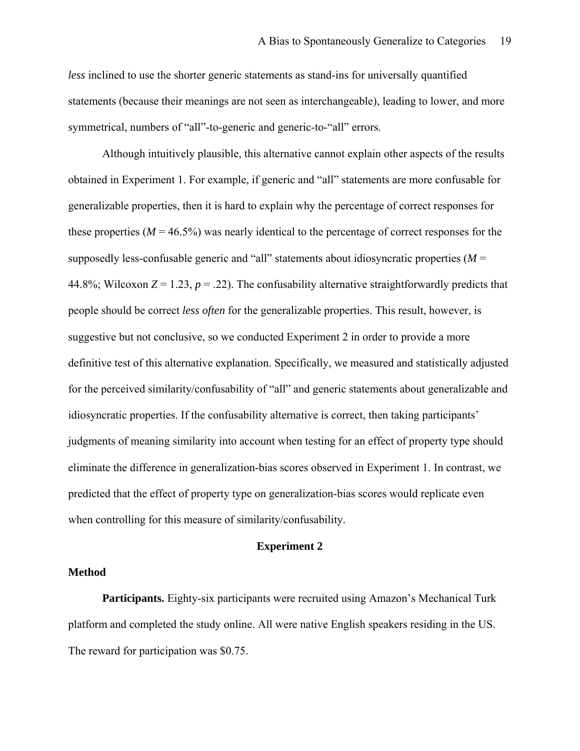*less* inclined to use the shorter generic statements as stand-ins for universally quantified statements (because their meanings are not seen as interchangeable), leading to lower, and more symmetrical, numbers of "all"-to-generic and generic-to-"all" errors.

Although intuitively plausible, this alternative cannot explain other aspects of the results obtained in Experiment 1. For example, if generic and "all" statements are more confusable for generalizable properties, then it is hard to explain why the percentage of correct responses for these properties  $(M = 46.5\%)$  was nearly identical to the percentage of correct responses for the supposedly less-confusable generic and "all" statements about idiosyncratic properties (*M* = 44.8%; Wilcoxon  $Z = 1.23$ ,  $p = .22$ ). The confusability alternative straightforwardly predicts that people should be correct *less often* for the generalizable properties. This result, however, is suggestive but not conclusive, so we conducted Experiment 2 in order to provide a more definitive test of this alternative explanation. Specifically, we measured and statistically adjusted for the perceived similarity/confusability of "all" and generic statements about generalizable and idiosyncratic properties. If the confusability alternative is correct, then taking participants' judgments of meaning similarity into account when testing for an effect of property type should eliminate the difference in generalization-bias scores observed in Experiment 1. In contrast, we predicted that the effect of property type on generalization-bias scores would replicate even when controlling for this measure of similarity/confusability.

#### **Experiment 2**

#### **Method**

 **Participants.** Eighty-six participants were recruited using Amazon's Mechanical Turk platform and completed the study online. All were native English speakers residing in the US. The reward for participation was \$0.75.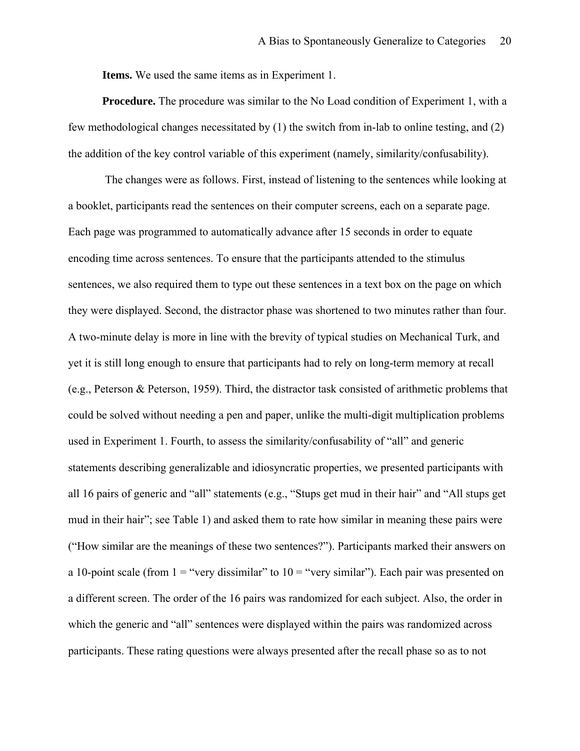**Items.** We used the same items as in Experiment 1.

**Procedure.** The procedure was similar to the No Load condition of Experiment 1, with a few methodological changes necessitated by (1) the switch from in-lab to online testing, and (2) the addition of the key control variable of this experiment (namely, similarity/confusability).

 The changes were as follows. First, instead of listening to the sentences while looking at a booklet, participants read the sentences on their computer screens, each on a separate page. Each page was programmed to automatically advance after 15 seconds in order to equate encoding time across sentences. To ensure that the participants attended to the stimulus sentences, we also required them to type out these sentences in a text box on the page on which they were displayed. Second, the distractor phase was shortened to two minutes rather than four. A two-minute delay is more in line with the brevity of typical studies on Mechanical Turk, and yet it is still long enough to ensure that participants had to rely on long-term memory at recall (e.g., Peterson & Peterson, 1959). Third, the distractor task consisted of arithmetic problems that could be solved without needing a pen and paper, unlike the multi-digit multiplication problems used in Experiment 1. Fourth, to assess the similarity/confusability of "all" and generic statements describing generalizable and idiosyncratic properties, we presented participants with all 16 pairs of generic and "all" statements (e.g., "Stups get mud in their hair" and "All stups get mud in their hair"; see Table 1) and asked them to rate how similar in meaning these pairs were ("How similar are the meanings of these two sentences?"). Participants marked their answers on a 10-point scale (from  $1 =$  "very dissimilar" to  $10 =$  "very similar"). Each pair was presented on a different screen. The order of the 16 pairs was randomized for each subject. Also, the order in which the generic and "all" sentences were displayed within the pairs was randomized across participants. These rating questions were always presented after the recall phase so as to not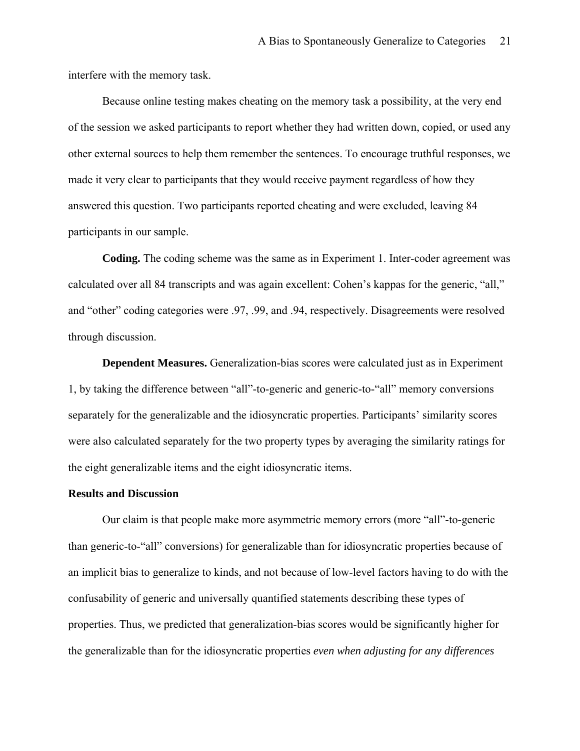interfere with the memory task.

 Because online testing makes cheating on the memory task a possibility, at the very end of the session we asked participants to report whether they had written down, copied, or used any other external sources to help them remember the sentences. To encourage truthful responses, we made it very clear to participants that they would receive payment regardless of how they answered this question. Two participants reported cheating and were excluded, leaving 84 participants in our sample.

**Coding.** The coding scheme was the same as in Experiment 1. Inter-coder agreement was calculated over all 84 transcripts and was again excellent: Cohen's kappas for the generic, "all," and "other" coding categories were .97, .99, and .94, respectively. Disagreements were resolved through discussion.

**Dependent Measures.** Generalization-bias scores were calculated just as in Experiment 1, by taking the difference between "all"-to-generic and generic-to-"all" memory conversions separately for the generalizable and the idiosyncratic properties. Participants' similarity scores were also calculated separately for the two property types by averaging the similarity ratings for the eight generalizable items and the eight idiosyncratic items.

#### **Results and Discussion**

 Our claim is that people make more asymmetric memory errors (more "all"-to-generic than generic-to-"all" conversions) for generalizable than for idiosyncratic properties because of an implicit bias to generalize to kinds, and not because of low-level factors having to do with the confusability of generic and universally quantified statements describing these types of properties. Thus, we predicted that generalization-bias scores would be significantly higher for the generalizable than for the idiosyncratic properties *even when adjusting for any differences*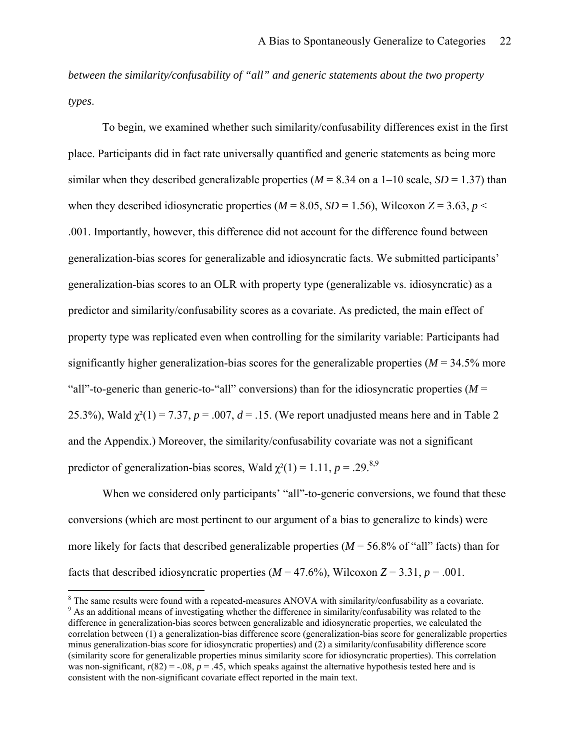*between the similarity/confusability of "all" and generic statements about the two property types*.

 To begin, we examined whether such similarity/confusability differences exist in the first place. Participants did in fact rate universally quantified and generic statements as being more similar when they described generalizable properties ( $M = 8.34$  on a 1–10 scale,  $SD = 1.37$ ) than when they described idiosyncratic properties ( $M = 8.05$ ,  $SD = 1.56$ ), Wilcoxon  $Z = 3.63$ ,  $p <$ .001. Importantly, however, this difference did not account for the difference found between generalization-bias scores for generalizable and idiosyncratic facts. We submitted participants' generalization-bias scores to an OLR with property type (generalizable vs. idiosyncratic) as a predictor and similarity/confusability scores as a covariate. As predicted, the main effect of property type was replicated even when controlling for the similarity variable: Participants had significantly higher generalization-bias scores for the generalizable properties ( $M = 34.5\%$  more "all"-to-generic than generic-to-"all" conversions) than for the idiosyncratic properties (*M* = 25.3%), Wald  $\chi^2(1) = 7.37$ ,  $p = .007$ ,  $d = .15$ . (We report unadjusted means here and in Table 2) and the Appendix.) Moreover, the similarity/confusability covariate was not a significant predictor of generalization-bias scores, Wald  $\chi^2(1) = 1.11$ ,  $p = .29$ .<sup>8,9</sup>

When we considered only participants' "all"-to-generic conversions, we found that these conversions (which are most pertinent to our argument of a bias to generalize to kinds) were more likely for facts that described generalizable properties  $(M = 56.8\%$  of "all" facts) than for facts that described idiosyncratic properties  $(M = 47.6\%)$ , Wilcoxon  $Z = 3.31$ ,  $p = .001$ .

<sup>&</sup>lt;sup>8</sup> The same results were found with a repeated-measures ANOVA with similarity/confusability as a covariate. <sup>9</sup> As an additional means of investigating whether the difference in similarity/confusability was related to the difference in generalization-bias scores between generalizable and idiosyncratic properties, we calculated the correlation between (1) a generalization-bias difference score (generalization-bias score for generalizable properties minus generalization-bias score for idiosyncratic properties) and (2) a similarity/confusability difference score (similarity score for generalizable properties minus similarity score for idiosyncratic properties). This correlation was non-significant,  $r(82) = -.08$ ,  $p = .45$ , which speaks against the alternative hypothesis tested here and is consistent with the non-significant covariate effect reported in the main text.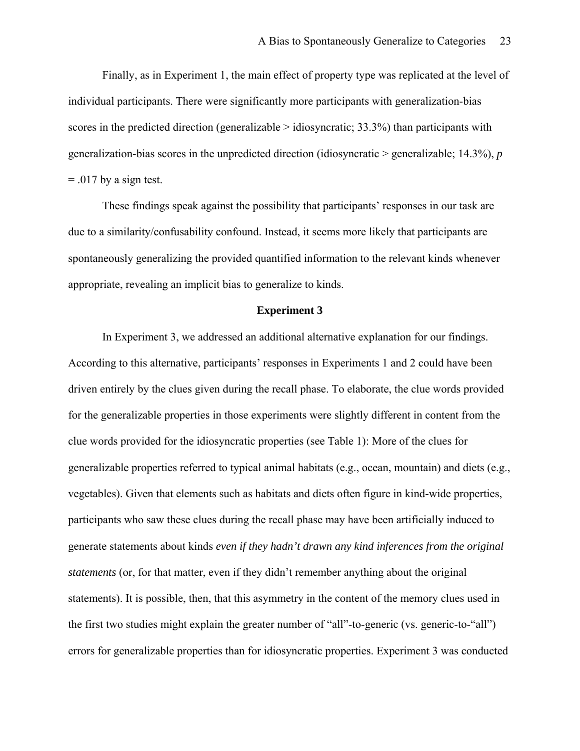Finally, as in Experiment 1, the main effect of property type was replicated at the level of individual participants. There were significantly more participants with generalization-bias scores in the predicted direction (generalizable  $>$  idiosyncratic; 33.3%) than participants with generalization-bias scores in the unpredicted direction (idiosyncratic > generalizable; 14.3%), *p*  $=$  .017 by a sign test.

 These findings speak against the possibility that participants' responses in our task are due to a similarity/confusability confound. Instead, it seems more likely that participants are spontaneously generalizing the provided quantified information to the relevant kinds whenever appropriate, revealing an implicit bias to generalize to kinds.

#### **Experiment 3**

In Experiment 3, we addressed an additional alternative explanation for our findings. According to this alternative, participants' responses in Experiments 1 and 2 could have been driven entirely by the clues given during the recall phase. To elaborate, the clue words provided for the generalizable properties in those experiments were slightly different in content from the clue words provided for the idiosyncratic properties (see Table 1): More of the clues for generalizable properties referred to typical animal habitats (e.g., ocean, mountain) and diets (e.g., vegetables). Given that elements such as habitats and diets often figure in kind-wide properties, participants who saw these clues during the recall phase may have been artificially induced to generate statements about kinds *even if they hadn't drawn any kind inferences from the original statements* (or, for that matter, even if they didn't remember anything about the original statements). It is possible, then, that this asymmetry in the content of the memory clues used in the first two studies might explain the greater number of "all"-to-generic (vs. generic-to-"all") errors for generalizable properties than for idiosyncratic properties. Experiment 3 was conducted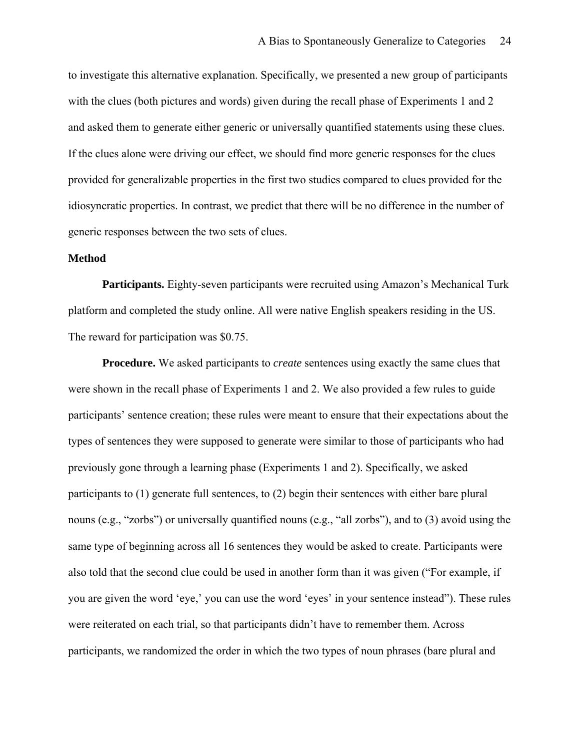to investigate this alternative explanation. Specifically, we presented a new group of participants with the clues (both pictures and words) given during the recall phase of Experiments 1 and 2 and asked them to generate either generic or universally quantified statements using these clues. If the clues alone were driving our effect, we should find more generic responses for the clues provided for generalizable properties in the first two studies compared to clues provided for the idiosyncratic properties. In contrast, we predict that there will be no difference in the number of generic responses between the two sets of clues.

#### **Method**

 **Participants.** Eighty-seven participants were recruited using Amazon's Mechanical Turk platform and completed the study online. All were native English speakers residing in the US. The reward for participation was \$0.75.

 **Procedure.** We asked participants to *create* sentences using exactly the same clues that were shown in the recall phase of Experiments 1 and 2. We also provided a few rules to guide participants' sentence creation; these rules were meant to ensure that their expectations about the types of sentences they were supposed to generate were similar to those of participants who had previously gone through a learning phase (Experiments 1 and 2). Specifically, we asked participants to (1) generate full sentences, to (2) begin their sentences with either bare plural nouns (e.g., "zorbs") or universally quantified nouns (e.g., "all zorbs"), and to (3) avoid using the same type of beginning across all 16 sentences they would be asked to create. Participants were also told that the second clue could be used in another form than it was given ("For example, if you are given the word 'eye,' you can use the word 'eyes' in your sentence instead"). These rules were reiterated on each trial, so that participants didn't have to remember them. Across participants, we randomized the order in which the two types of noun phrases (bare plural and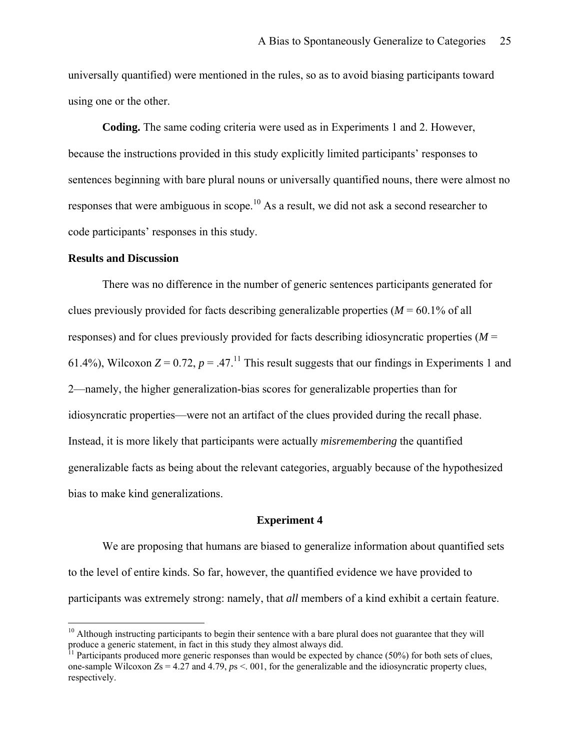universally quantified) were mentioned in the rules, so as to avoid biasing participants toward using one or the other.

 **Coding.** The same coding criteria were used as in Experiments 1 and 2. However, because the instructions provided in this study explicitly limited participants' responses to sentences beginning with bare plural nouns or universally quantified nouns, there were almost no responses that were ambiguous in scope.<sup>10</sup> As a result, we did not ask a second researcher to code participants' responses in this study.

#### **Results and Discussion**

There was no difference in the number of generic sentences participants generated for clues previously provided for facts describing generalizable properties  $(M = 60.1\%$  of all responses) and for clues previously provided for facts describing idiosyncratic properties (*M* = 61.4%), Wilcoxon  $Z = 0.72$ ,  $p = .47$ .<sup>11</sup> This result suggests that our findings in Experiments 1 and 2—namely, the higher generalization-bias scores for generalizable properties than for idiosyncratic properties—were not an artifact of the clues provided during the recall phase. Instead, it is more likely that participants were actually *misremembering* the quantified generalizable facts as being about the relevant categories, arguably because of the hypothesized bias to make kind generalizations.

### **Experiment 4**

 We are proposing that humans are biased to generalize information about quantified sets to the level of entire kinds. So far, however, the quantified evidence we have provided to participants was extremely strong: namely, that *all* members of a kind exhibit a certain feature.

 $10$  Although instructing participants to begin their sentence with a bare plural does not guarantee that they will produce a generic statement, in fact in this study they almost always did.<br><sup>11</sup> Participants produced more generic responses than would be expected by chance (50%) for both sets of clues,

one-sample Wilcoxon  $Z_s = 4.27$  and  $4.79$ ,  $ps < 0.01$ , for the generalizable and the idiosyncratic property clues, respectively.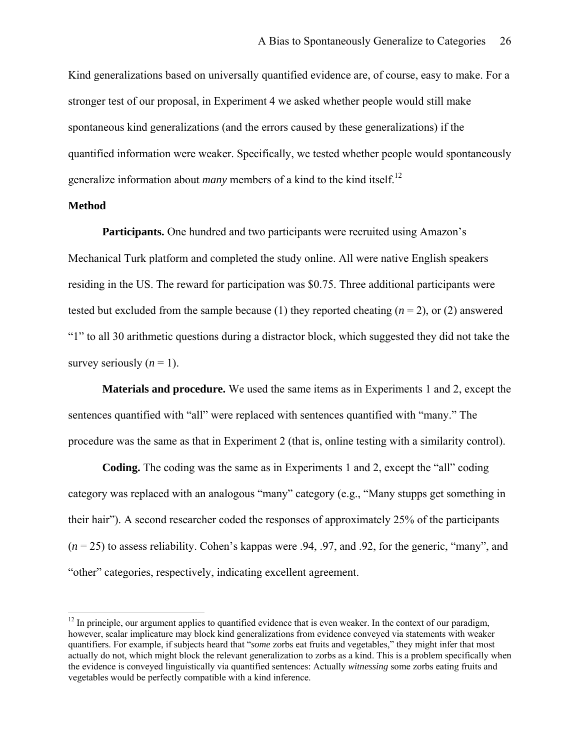Kind generalizations based on universally quantified evidence are, of course, easy to make. For a stronger test of our proposal, in Experiment 4 we asked whether people would still make spontaneous kind generalizations (and the errors caused by these generalizations) if the quantified information were weaker. Specifically, we tested whether people would spontaneously generalize information about *many* members of a kind to the kind itself.12

#### **Method**

**Participants.** One hundred and two participants were recruited using Amazon's Mechanical Turk platform and completed the study online. All were native English speakers residing in the US. The reward for participation was \$0.75. Three additional participants were tested but excluded from the sample because (1) they reported cheating  $(n = 2)$ , or (2) answered "1" to all 30 arithmetic questions during a distractor block, which suggested they did not take the survey seriously  $(n = 1)$ .

**Materials and procedure.** We used the same items as in Experiments 1 and 2, except the sentences quantified with "all" were replaced with sentences quantified with "many." The procedure was the same as that in Experiment 2 (that is, online testing with a similarity control).

**Coding.** The coding was the same as in Experiments 1 and 2, except the "all" coding category was replaced with an analogous "many" category (e.g., "Many stupps get something in their hair"). A second researcher coded the responses of approximately 25% of the participants (*n* = 25) to assess reliability. Cohen's kappas were .94, .97, and .92, for the generic, "many", and "other" categories, respectively, indicating excellent agreement.

 $12$  In principle, our argument applies to quantified evidence that is even weaker. In the context of our paradigm, however, scalar implicature may block kind generalizations from evidence conveyed via statements with weaker quantifiers. For example, if subjects heard that "*some* zorbs eat fruits and vegetables," they might infer that most actually do not, which might block the relevant generalization to zorbs as a kind. This is a problem specifically when the evidence is conveyed linguistically via quantified sentences: Actually *witnessing* some zorbs eating fruits and vegetables would be perfectly compatible with a kind inference.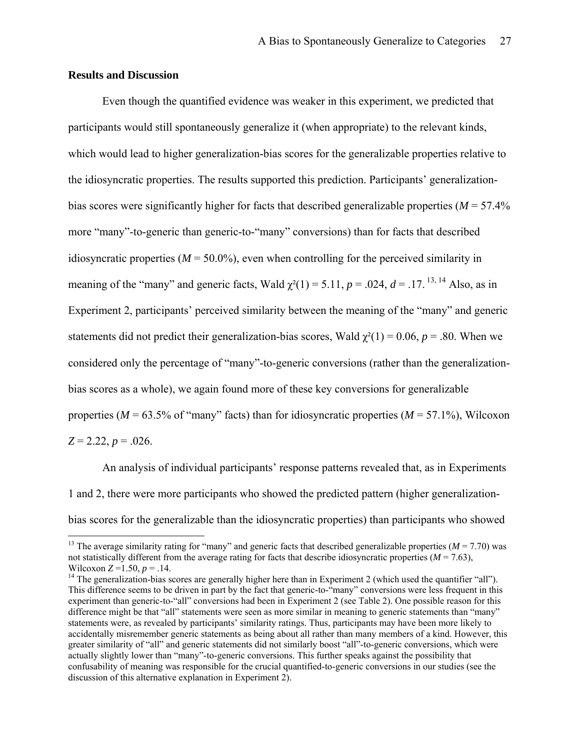## **Results and Discussion**

 Even though the quantified evidence was weaker in this experiment, we predicted that participants would still spontaneously generalize it (when appropriate) to the relevant kinds, which would lead to higher generalization-bias scores for the generalizable properties relative to the idiosyncratic properties. The results supported this prediction. Participants' generalizationbias scores were significantly higher for facts that described generalizable properties (*M* = 57.4% more "many"-to-generic than generic-to-"many" conversions) than for facts that described idiosyncratic properties  $(M = 50.0\%)$ , even when controlling for the perceived similarity in meaning of the "many" and generic facts, Wald  $\gamma^2(1) = 5.11$ ,  $p = .024$ ,  $d = .17$ . <sup>13, 14</sup> Also, as in Experiment 2, participants' perceived similarity between the meaning of the "many" and generic statements did not predict their generalization-bias scores, Wald  $\chi^2(1) = 0.06$ ,  $p = .80$ . When we considered only the percentage of "many"-to-generic conversions (rather than the generalizationbias scores as a whole), we again found more of these key conversions for generalizable properties ( $M = 63.5\%$  of "many" facts) than for idiosyncratic properties ( $M = 57.1\%$ ), Wilcoxon  $Z = 2.22, p = .026$ .

 An analysis of individual participants' response patterns revealed that, as in Experiments 1 and 2, there were more participants who showed the predicted pattern (higher generalizationbias scores for the generalizable than the idiosyncratic properties) than participants who showed

<sup>&</sup>lt;sup>13</sup> The average similarity rating for "many" and generic facts that described generalizable properties ( $M = 7.70$ ) was not statistically different from the average rating for facts that describe idiosyncratic properties (*M* = 7.63), Wilcoxon  $Z = 1.50$ ,  $p = .14$ .<br><sup>14</sup> The generalization-bias scores are generally higher here than in Experiment 2 (which used the quantifier "all").

This difference seems to be driven in part by the fact that generic-to-"many" conversions were less frequent in this experiment than generic-to-"all" conversions had been in Experiment 2 (see Table 2). One possible reason for this difference might be that "all" statements were seen as more similar in meaning to generic statements than "many" statements were, as revealed by participants' similarity ratings. Thus, participants may have been more likely to accidentally misremember generic statements as being about all rather than many members of a kind. However, this greater similarity of "all" and generic statements did not similarly boost "all"-to-generic conversions, which were actually slightly lower than "many"-to-generic conversions. This further speaks against the possibility that confusability of meaning was responsible for the crucial quantified-to-generic conversions in our studies (see the discussion of this alternative explanation in Experiment 2).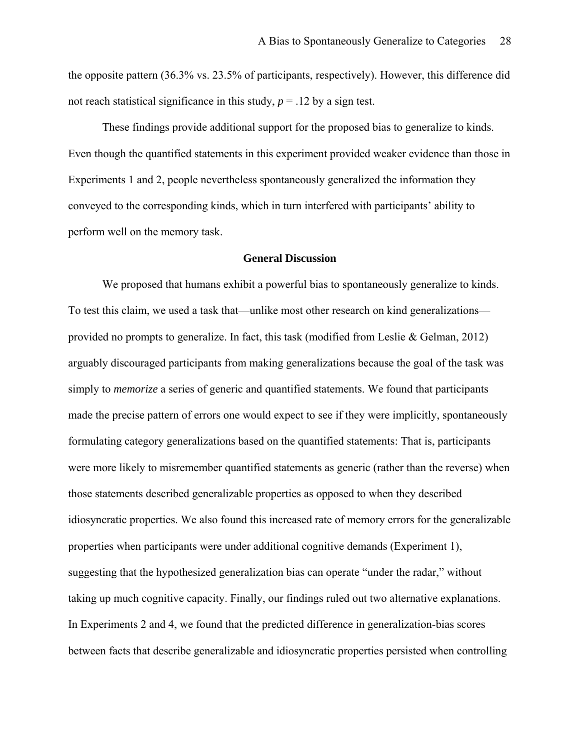the opposite pattern (36.3% vs. 23.5% of participants, respectively). However, this difference did not reach statistical significance in this study,  $p = 0.12$  by a sign test.

 These findings provide additional support for the proposed bias to generalize to kinds. Even though the quantified statements in this experiment provided weaker evidence than those in Experiments 1 and 2, people nevertheless spontaneously generalized the information they conveyed to the corresponding kinds, which in turn interfered with participants' ability to perform well on the memory task.

#### **General Discussion**

We proposed that humans exhibit a powerful bias to spontaneously generalize to kinds. To test this claim, we used a task that—unlike most other research on kind generalizations provided no prompts to generalize. In fact, this task (modified from Leslie & Gelman, 2012) arguably discouraged participants from making generalizations because the goal of the task was simply to *memorize* a series of generic and quantified statements. We found that participants made the precise pattern of errors one would expect to see if they were implicitly, spontaneously formulating category generalizations based on the quantified statements: That is, participants were more likely to misremember quantified statements as generic (rather than the reverse) when those statements described generalizable properties as opposed to when they described idiosyncratic properties. We also found this increased rate of memory errors for the generalizable properties when participants were under additional cognitive demands (Experiment 1), suggesting that the hypothesized generalization bias can operate "under the radar," without taking up much cognitive capacity. Finally, our findings ruled out two alternative explanations. In Experiments 2 and 4, we found that the predicted difference in generalization-bias scores between facts that describe generalizable and idiosyncratic properties persisted when controlling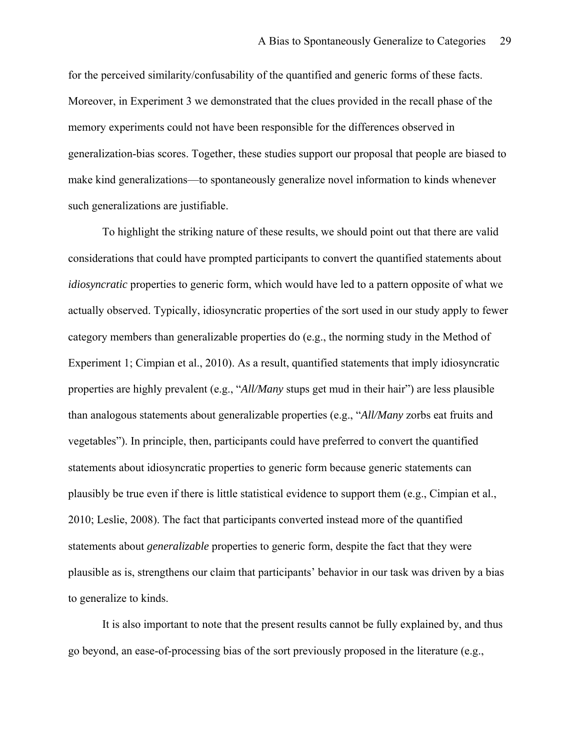for the perceived similarity/confusability of the quantified and generic forms of these facts. Moreover, in Experiment 3 we demonstrated that the clues provided in the recall phase of the memory experiments could not have been responsible for the differences observed in generalization-bias scores. Together, these studies support our proposal that people are biased to make kind generalizations—to spontaneously generalize novel information to kinds whenever such generalizations are justifiable.

To highlight the striking nature of these results, we should point out that there are valid considerations that could have prompted participants to convert the quantified statements about *idiosyncratic* properties to generic form, which would have led to a pattern opposite of what we actually observed. Typically, idiosyncratic properties of the sort used in our study apply to fewer category members than generalizable properties do (e.g., the norming study in the Method of Experiment 1; Cimpian et al., 2010). As a result, quantified statements that imply idiosyncratic properties are highly prevalent (e.g., "*All/Many* stups get mud in their hair") are less plausible than analogous statements about generalizable properties (e.g., "*All/Many* zorbs eat fruits and vegetables"). In principle, then, participants could have preferred to convert the quantified statements about idiosyncratic properties to generic form because generic statements can plausibly be true even if there is little statistical evidence to support them (e.g., Cimpian et al., 2010; Leslie, 2008). The fact that participants converted instead more of the quantified statements about *generalizable* properties to generic form, despite the fact that they were plausible as is, strengthens our claim that participants' behavior in our task was driven by a bias to generalize to kinds.

It is also important to note that the present results cannot be fully explained by, and thus go beyond, an ease-of-processing bias of the sort previously proposed in the literature (e.g.,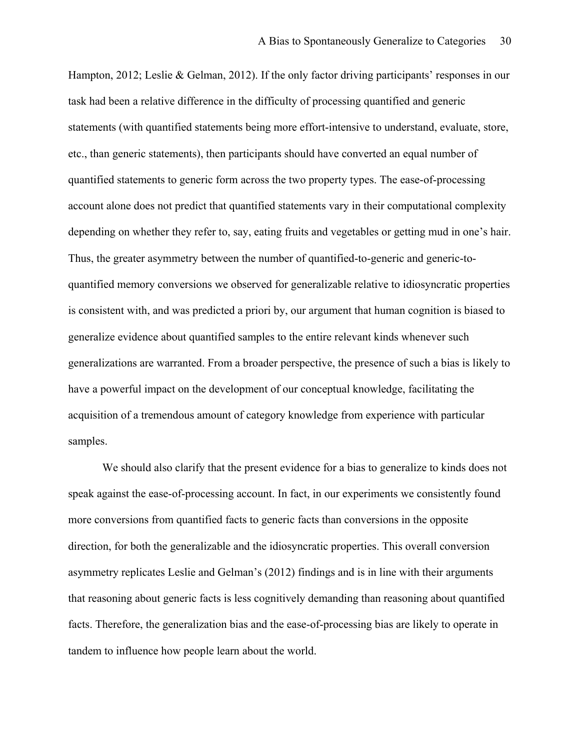Hampton, 2012; Leslie & Gelman, 2012). If the only factor driving participants' responses in our task had been a relative difference in the difficulty of processing quantified and generic statements (with quantified statements being more effort-intensive to understand, evaluate, store, etc., than generic statements), then participants should have converted an equal number of quantified statements to generic form across the two property types. The ease-of-processing account alone does not predict that quantified statements vary in their computational complexity depending on whether they refer to, say, eating fruits and vegetables or getting mud in one's hair. Thus, the greater asymmetry between the number of quantified-to-generic and generic-toquantified memory conversions we observed for generalizable relative to idiosyncratic properties is consistent with, and was predicted a priori by, our argument that human cognition is biased to generalize evidence about quantified samples to the entire relevant kinds whenever such generalizations are warranted. From a broader perspective, the presence of such a bias is likely to have a powerful impact on the development of our conceptual knowledge, facilitating the acquisition of a tremendous amount of category knowledge from experience with particular samples.

We should also clarify that the present evidence for a bias to generalize to kinds does not speak against the ease-of-processing account. In fact, in our experiments we consistently found more conversions from quantified facts to generic facts than conversions in the opposite direction, for both the generalizable and the idiosyncratic properties. This overall conversion asymmetry replicates Leslie and Gelman's (2012) findings and is in line with their arguments that reasoning about generic facts is less cognitively demanding than reasoning about quantified facts. Therefore, the generalization bias and the ease-of-processing bias are likely to operate in tandem to influence how people learn about the world.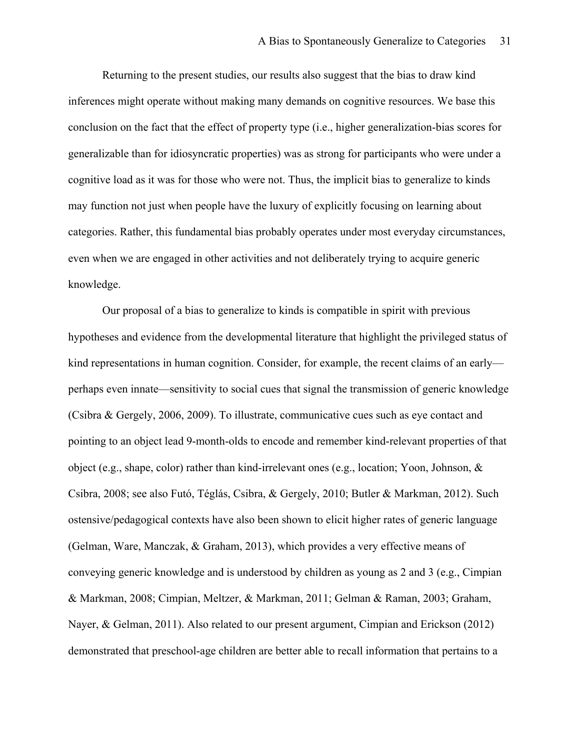Returning to the present studies, our results also suggest that the bias to draw kind inferences might operate without making many demands on cognitive resources. We base this conclusion on the fact that the effect of property type (i.e., higher generalization-bias scores for generalizable than for idiosyncratic properties) was as strong for participants who were under a cognitive load as it was for those who were not. Thus, the implicit bias to generalize to kinds may function not just when people have the luxury of explicitly focusing on learning about categories. Rather, this fundamental bias probably operates under most everyday circumstances, even when we are engaged in other activities and not deliberately trying to acquire generic knowledge.

Our proposal of a bias to generalize to kinds is compatible in spirit with previous hypotheses and evidence from the developmental literature that highlight the privileged status of kind representations in human cognition. Consider, for example, the recent claims of an early perhaps even innate—sensitivity to social cues that signal the transmission of generic knowledge (Csibra & Gergely, 2006, 2009). To illustrate, communicative cues such as eye contact and pointing to an object lead 9-month-olds to encode and remember kind-relevant properties of that object (e.g., shape, color) rather than kind-irrelevant ones (e.g., location; Yoon, Johnson, & Csibra, 2008; see also Futó, Téglás, Csibra, & Gergely, 2010; Butler & Markman, 2012). Such ostensive/pedagogical contexts have also been shown to elicit higher rates of generic language (Gelman, Ware, Manczak, & Graham, 2013), which provides a very effective means of conveying generic knowledge and is understood by children as young as 2 and 3 (e.g., Cimpian & Markman, 2008; Cimpian, Meltzer, & Markman, 2011; Gelman & Raman, 2003; Graham, Nayer, & Gelman, 2011). Also related to our present argument, Cimpian and Erickson (2012) demonstrated that preschool-age children are better able to recall information that pertains to a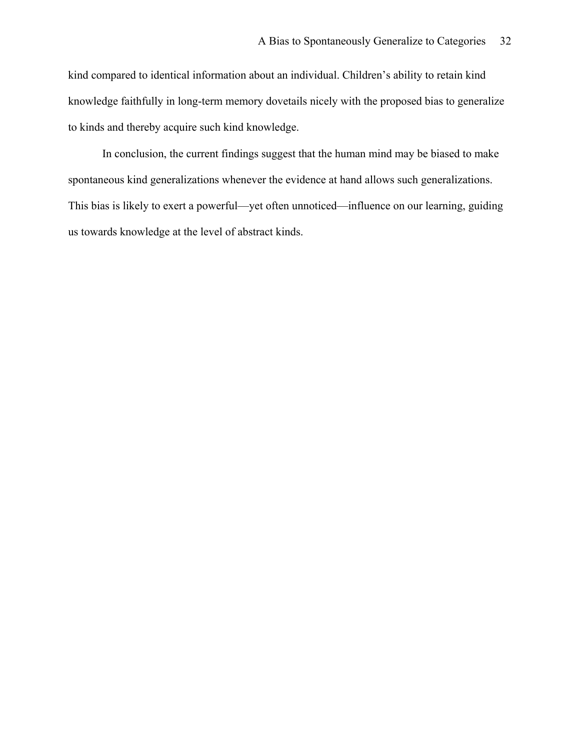kind compared to identical information about an individual. Children's ability to retain kind knowledge faithfully in long-term memory dovetails nicely with the proposed bias to generalize to kinds and thereby acquire such kind knowledge.

In conclusion, the current findings suggest that the human mind may be biased to make spontaneous kind generalizations whenever the evidence at hand allows such generalizations. This bias is likely to exert a powerful—yet often unnoticed—influence on our learning, guiding us towards knowledge at the level of abstract kinds.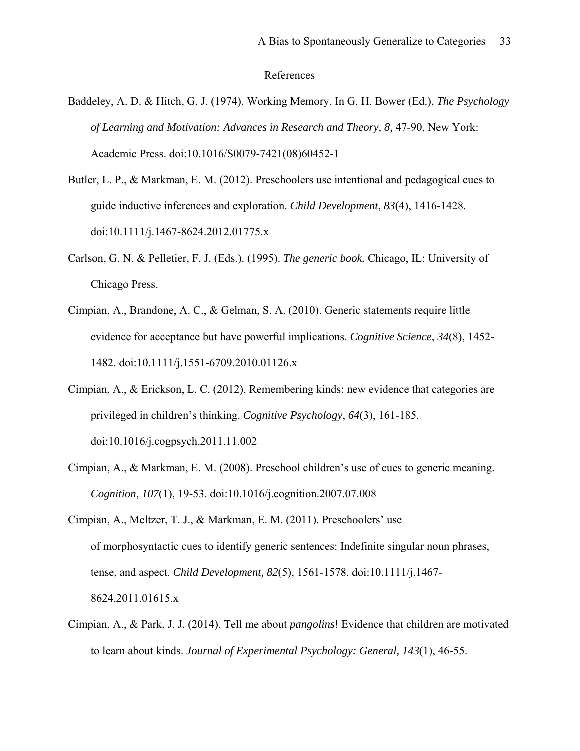### References

- Baddeley, A. D. & Hitch, G. J. (1974). Working Memory. In G. H. Bower (Ed.), *The Psychology of Learning and Motivation: Advances in Research and Theory, 8,* 47-90, New York: Academic Press. doi:10.1016/S0079-7421(08)60452-1
- Butler, L. P., & Markman, E. M. (2012). Preschoolers use intentional and pedagogical cues to guide inductive inferences and exploration. *Child Development*, *83*(4), 1416-1428. doi:10.1111/j.1467-8624.2012.01775.x
- Carlson, G. N. & Pelletier, F. J. (Eds.). (1995). *The generic book.* Chicago, IL: University of Chicago Press.
- Cimpian, A., Brandone, A. C., & Gelman, S. A. (2010). Generic statements require little evidence for acceptance but have powerful implications. *Cognitive Science*, *34*(8), 1452- 1482. doi:10.1111/j.1551-6709.2010.01126.x
- Cimpian, A., & Erickson, L. C. (2012). Remembering kinds: new evidence that categories are privileged in children's thinking. *Cognitive Psychology*, *64*(3), 161-185. doi:10.1016/j.cogpsych.2011.11.002
- Cimpian, A., & Markman, E. M. (2008). Preschool children's use of cues to generic meaning. *Cognition*, *107*(1), 19-53. doi:10.1016/j.cognition.2007.07.008
- Cimpian, A., Meltzer, T. J., & Markman, E. M. (2011). Preschoolers' use of morphosyntactic cues to identify generic sentences: Indefinite singular noun phrases, tense, and aspect. *Child Development, 82*(5), 1561-1578. doi:10.1111/j.1467- 8624.2011.01615.x
- Cimpian, A., & Park, J. J. (2014). Tell me about *pangolins*! Evidence that children are motivated to learn about kinds. *Journal of Experimental Psychology: General, 143*(1), 46-55.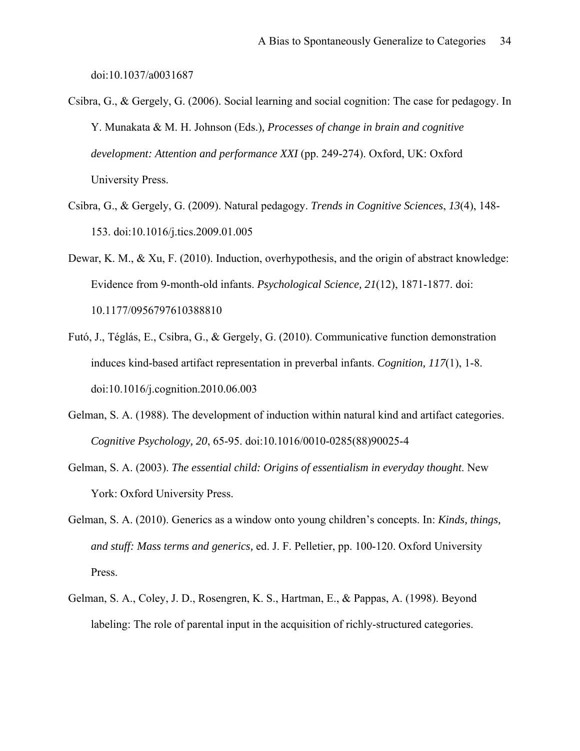doi:10.1037/a0031687

- Csibra, G., & Gergely, G. (2006). Social learning and social cognition: The case for pedagogy. In Y. Munakata & M. H. Johnson (Eds.)*, Processes of change in brain and cognitive development: Attention and performance XXI* (pp. 249-274). Oxford, UK: Oxford University Press.
- Csibra, G., & Gergely, G. (2009). Natural pedagogy. *Trends in Cognitive Sciences*, *13*(4), 148- 153. doi:10.1016/j.tics.2009.01.005
- Dewar, K. M., & Xu, F. (2010). Induction, overhypothesis, and the origin of abstract knowledge: Evidence from 9-month-old infants. *Psychological Science, 21*(12), 1871-1877. doi: 10.1177/0956797610388810
- Futó, J., Téglás, E., Csibra, G., & Gergely, G. (2010). Communicative function demonstration induces kind-based artifact representation in preverbal infants. *Cognition, 117*(1), 1-8. doi:10.1016/j.cognition.2010.06.003
- Gelman, S. A. (1988). The development of induction within natural kind and artifact categories. *Cognitive Psychology, 20*, 65-95. doi:10.1016/0010-0285(88)90025-4
- Gelman, S. A. (2003). *The essential child: Origins of essentialism in everyday thought*. New York: Oxford University Press.
- Gelman, S. A. (2010). Generics as a window onto young children's concepts. In: *Kinds, things, and stuff: Mass terms and generics,* ed. J. F. Pelletier, pp. 100-120. Oxford University Press.
- Gelman, S. A., Coley, J. D., Rosengren, K. S., Hartman, E., & Pappas, A. (1998). Beyond labeling: The role of parental input in the acquisition of richly-structured categories.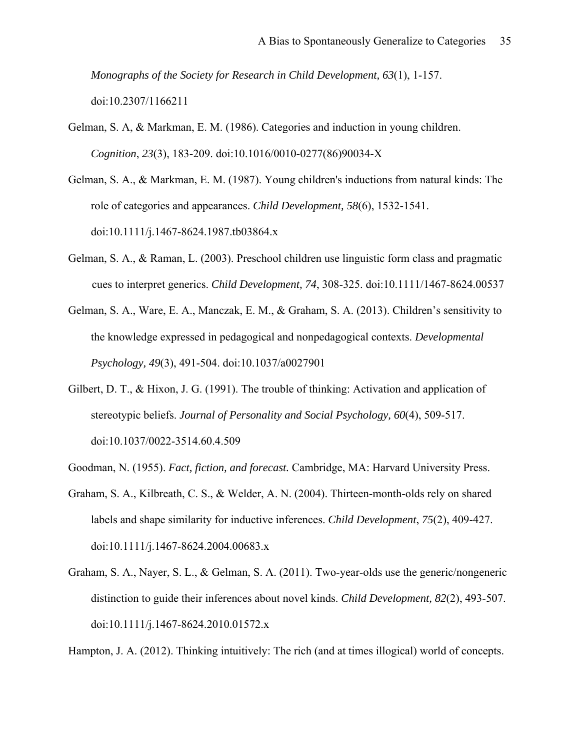*Monographs of the Society for Research in Child Development, 63*(1), 1-157. doi:10.2307/1166211

- Gelman, S. A, & Markman, E. M. (1986). Categories and induction in young children. *Cognition*, *23*(3), 183-209. doi:10.1016/0010-0277(86)90034-X
- Gelman, S. A., & Markman, E. M. (1987). Young children's inductions from natural kinds: The role of categories and appearances. *Child Development, 58*(6), 1532-1541. doi:10.1111/j.1467-8624.1987.tb03864.x
- Gelman, S. A., & Raman, L. (2003). Preschool children use linguistic form class and pragmatic cues to interpret generics. *Child Development, 74*, 308-325. doi:10.1111/1467-8624.00537
- Gelman, S. A., Ware, E. A., Manczak, E. M., & Graham, S. A. (2013). Children's sensitivity to the knowledge expressed in pedagogical and nonpedagogical contexts. *Developmental Psychology, 49*(3), 491-504. doi:10.1037/a0027901
- Gilbert, D. T., & Hixon, J. G. (1991). The trouble of thinking: Activation and application of stereotypic beliefs. *Journal of Personality and Social Psychology, 60*(4), 509-517. doi:10.1037/0022-3514.60.4.509
- Goodman, N. (1955). *Fact, fiction, and forecast.* Cambridge, MA: Harvard University Press.
- Graham, S. A., Kilbreath, C. S., & Welder, A. N. (2004). Thirteen-month-olds rely on shared labels and shape similarity for inductive inferences. *Child Development*, *75*(2), 409-427. doi:10.1111/j.1467-8624.2004.00683.x
- Graham, S. A., Nayer, S. L., & Gelman, S. A. (2011). Two-year-olds use the generic/nongeneric distinction to guide their inferences about novel kinds. *Child Development, 82*(2), 493-507. doi:10.1111/j.1467-8624.2010.01572.x

Hampton, J. A. (2012). Thinking intuitively: The rich (and at times illogical) world of concepts.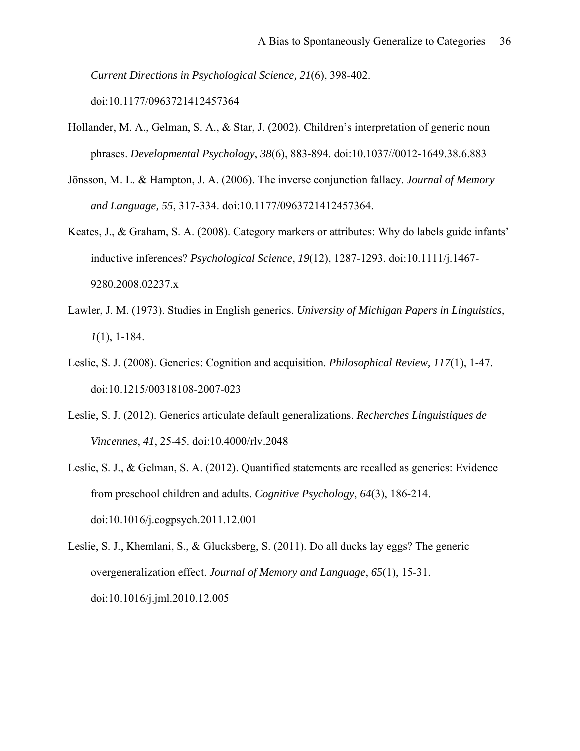*Current Directions in Psychological Science, 21*(6), 398-402.

doi:10.1177/0963721412457364

- Hollander, M. A., Gelman, S. A., & Star, J. (2002). Children's interpretation of generic noun phrases. *Developmental Psychology*, *38*(6), 883-894. doi:10.1037//0012-1649.38.6.883
- Jönsson, M. L. & Hampton, J. A. (2006). The inverse conjunction fallacy. *Journal of Memory and Language, 55*, 317-334. doi:10.1177/0963721412457364.
- Keates, J., & Graham, S. A. (2008). Category markers or attributes: Why do labels guide infants' inductive inferences? *Psychological Science*, *19*(12), 1287-1293. doi:10.1111/j.1467- 9280.2008.02237.x
- Lawler, J. M. (1973). Studies in English generics. *University of Michigan Papers in Linguistics, 1*(1), 1-184.
- Leslie, S. J. (2008). Generics: Cognition and acquisition. *Philosophical Review, 117*(1), 1-47. doi:10.1215/00318108-2007-023
- Leslie, S. J. (2012). Generics articulate default generalizations. *Recherches Linguistiques de Vincennes*, *41*, 25-45. doi:10.4000/rlv.2048
- Leslie, S. J., & Gelman, S. A. (2012). Quantified statements are recalled as generics: Evidence from preschool children and adults. *Cognitive Psychology*, *64*(3), 186-214. doi:10.1016/j.cogpsych.2011.12.001
- Leslie, S. J., Khemlani, S., & Glucksberg, S. (2011). Do all ducks lay eggs? The generic overgeneralization effect. *Journal of Memory and Language*, *65*(1), 15-31. doi:10.1016/j.jml.2010.12.005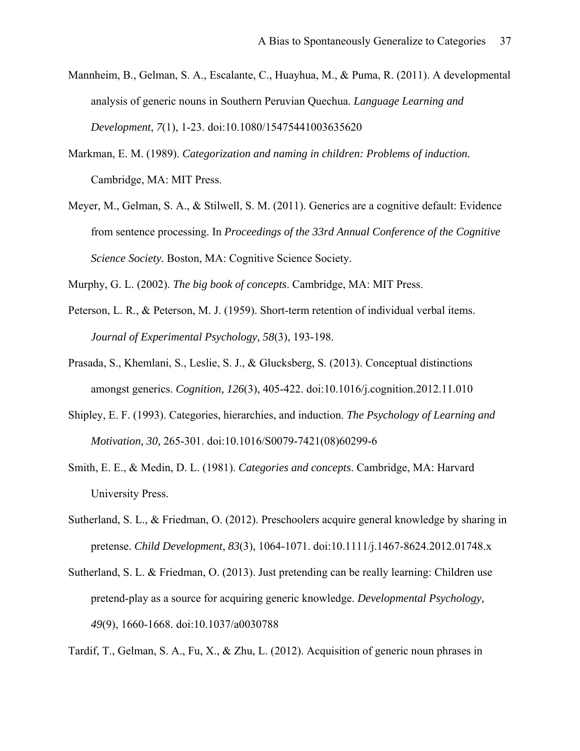- Mannheim, B., Gelman, S. A., Escalante, C., Huayhua, M., & Puma, R. (2011). A developmental analysis of generic nouns in Southern Peruvian Quechua. *Language Learning and Development*, *7*(1), 1-23. doi:10.1080/15475441003635620
- Markman, E. M. (1989). *Categorization and naming in children: Problems of induction.*  Cambridge, MA: MIT Press.
- Meyer, M., Gelman, S. A., & Stilwell, S. M. (2011). Generics are a cognitive default: Evidence from sentence processing. In *Proceedings of the 33rd Annual Conference of the Cognitive Science Society.* Boston, MA: Cognitive Science Society.

Murphy, G. L. (2002). *The big book of concepts*. Cambridge, MA: MIT Press.

- Peterson, L. R., & Peterson, M. J. (1959). Short-term retention of individual verbal items. *Journal of Experimental Psychology, 58*(3), 193-198.
- Prasada, S., Khemlani, S., Leslie, S. J., & Glucksberg, S. (2013). Conceptual distinctions amongst generics. *Cognition, 126*(3), 405-422. doi:10.1016/j.cognition.2012.11.010
- Shipley, E. F. (1993). Categories, hierarchies, and induction. *The Psychology of Learning and Motivation, 30,* 265-301. doi:10.1016/S0079-7421(08)60299-6
- Smith, E. E., & Medin, D. L. (1981). *Categories and concepts*. Cambridge, MA: Harvard University Press.
- Sutherland, S. L., & Friedman, O. (2012). Preschoolers acquire general knowledge by sharing in pretense. *Child Development*, *83*(3), 1064-1071. doi:10.1111/j.1467-8624.2012.01748.x
- Sutherland, S. L. & Friedman, O. (2013). Just pretending can be really learning: Children use pretend-play as a source for acquiring generic knowledge. *Developmental Psychology, 49*(9), 1660-1668. doi:10.1037/a0030788

Tardif, T., Gelman, S. A., Fu, X., & Zhu, L. (2012). Acquisition of generic noun phrases in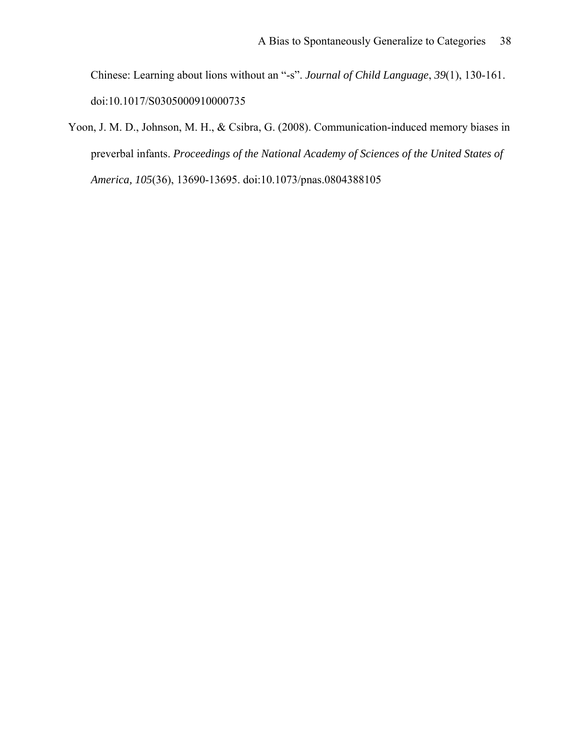Chinese: Learning about lions without an "-s". *Journal of Child Language*, *39*(1), 130-161. doi:10.1017/S0305000910000735

Yoon, J. M. D., Johnson, M. H., & Csibra, G. (2008). Communication-induced memory biases in preverbal infants. *Proceedings of the National Academy of Sciences of the United States of America, 105*(36), 13690-13695. doi:10.1073/pnas.0804388105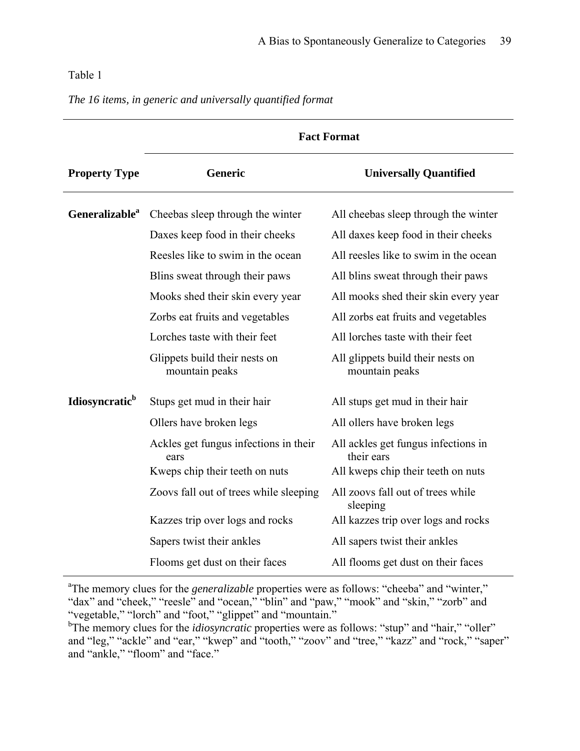# Table 1

|                            | <b>Fact Format</b>                              |                                                     |  |  |  |  |  |
|----------------------------|-------------------------------------------------|-----------------------------------------------------|--|--|--|--|--|
| <b>Property Type</b>       | <b>Generic</b>                                  | <b>Universally Quantified</b>                       |  |  |  |  |  |
| Generalizable <sup>a</sup> | Cheebas sleep through the winter                | All cheebas sleep through the winter                |  |  |  |  |  |
|                            | Daxes keep food in their cheeks                 | All daxes keep food in their cheeks                 |  |  |  |  |  |
|                            | Reesles like to swim in the ocean               | All reesles like to swim in the ocean               |  |  |  |  |  |
|                            | Blins sweat through their paws                  | All blins sweat through their paws                  |  |  |  |  |  |
|                            | Mooks shed their skin every year                | All mooks shed their skin every year                |  |  |  |  |  |
|                            | Zorbs eat fruits and vegetables                 | All zorbs eat fruits and vegetables                 |  |  |  |  |  |
|                            | Lorches taste with their feet                   | All lorches taste with their feet                   |  |  |  |  |  |
|                            | Glippets build their nests on<br>mountain peaks | All glippets build their nests on<br>mountain peaks |  |  |  |  |  |
| Idiosyncratic <sup>b</sup> | Stups get mud in their hair                     | All stups get mud in their hair                     |  |  |  |  |  |
|                            | Ollers have broken legs                         | All ollers have broken legs                         |  |  |  |  |  |
|                            | Ackles get fungus infections in their<br>ears   | All ackles get fungus infections in<br>their ears   |  |  |  |  |  |
|                            | Kweps chip their teeth on nuts                  | All kweps chip their teeth on nuts                  |  |  |  |  |  |
|                            | Zoovs fall out of trees while sleeping          | All zoovs fall out of trees while<br>sleeping       |  |  |  |  |  |
|                            | Kazzes trip over logs and rocks                 | All kazzes trip over logs and rocks                 |  |  |  |  |  |
|                            | Sapers twist their ankles                       | All sapers twist their ankles                       |  |  |  |  |  |
|                            | Flooms get dust on their faces                  | All flooms get dust on their faces                  |  |  |  |  |  |

*The 16 items, in generic and universally quantified format* 

<sup>a</sup>The memory clues for the *generalizable* properties were as follows: "cheeba" and "winter," "dax" and "cheek," "reesle" and "ocean," "blin" and "paw," "mook" and "skin," "zorb" and "vegetable," "lorch" and "foot," "glippet" and "mountain."<br><sup>b</sup>The memory clues for the *idiosyncratic* properties were as follows: "stup" and "hair," "oller"

and "leg," "ackle" and "ear," "kwep" and "tooth," "zoov" and "tree," "kazz" and "rock," "saper" and "ankle," "floom" and "face."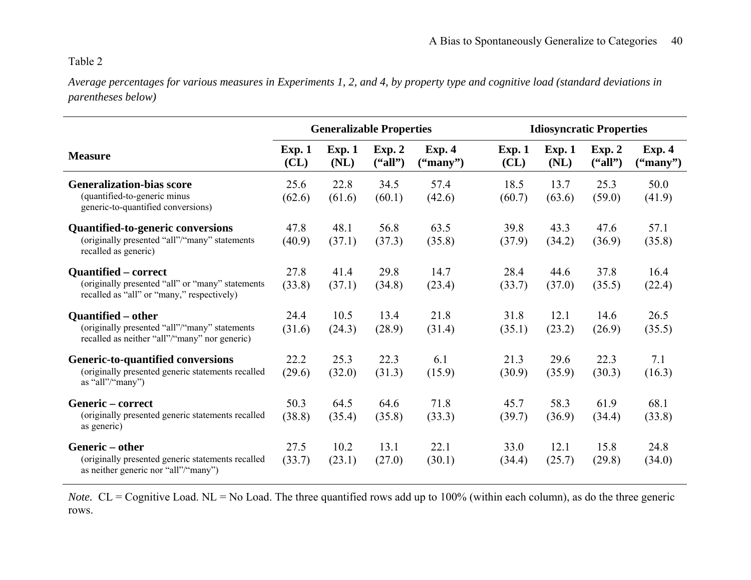## Table 2

*Average percentages for various measures in Experiments 1, 2, and 4, by property type and cognitive load (standard deviations in parentheses below)* 

|                                                                                                                               | <b>Generalizable Properties</b> |                |                   | <b>Idiosyncratic Properties</b> |                |                |                     |                    |
|-------------------------------------------------------------------------------------------------------------------------------|---------------------------------|----------------|-------------------|---------------------------------|----------------|----------------|---------------------|--------------------|
| <b>Measure</b>                                                                                                                | Exp.1<br>CL)                    | Exp. 1<br>(NL) | Exp. 2<br>("all") | Exp. 4<br>("many")              | Exp. 1<br>CL   | Exp. 1<br>(NL) | Exp. 2<br>(''all'') | Exp. 4<br>("many") |
| <b>Generalization-bias score</b><br>(quantified-to-generic minus<br>generic-to-quantified conversions)                        | 25.6<br>(62.6)                  | 22.8<br>(61.6) | 34.5<br>(60.1)    | 57.4<br>(42.6)                  | 18.5<br>(60.7) | 13.7<br>(63.6) | 25.3<br>(59.0)      | 50.0<br>(41.9)     |
| <b>Quantified-to-generic conversions</b><br>(originally presented "all"/"many" statements<br>recalled as generic)             | 47.8<br>(40.9)                  | 48.1<br>(37.1) | 56.8<br>(37.3)    | 63.5<br>(35.8)                  | 39.8<br>(37.9) | 43.3<br>(34.2) | 47.6<br>(36.9)      | 57.1<br>(35.8)     |
| <b>Quantified – correct</b><br>(originally presented "all" or "many" statements<br>recalled as "all" or "many," respectively) | 27.8<br>(33.8)                  | 41.4<br>(37.1) | 29.8<br>(34.8)    | 14.7<br>(23.4)                  | 28.4<br>(33.7) | 44.6<br>(37.0) | 37.8<br>(35.5)      | 16.4<br>(22.4)     |
| Quantified – other<br>(originally presented "all"/"many" statements<br>recalled as neither "all"/"many" nor generic)          | 24.4<br>(31.6)                  | 10.5<br>(24.3) | 13.4<br>(28.9)    | 21.8<br>(31.4)                  | 31.8<br>(35.1) | 12.1<br>(23.2) | 14.6<br>(26.9)      | 26.5<br>(35.5)     |
| <b>Generic-to-quantified conversions</b><br>(originally presented generic statements recalled<br>as "all"/"many")             | 22.2<br>(29.6)                  | 25.3<br>(32.0) | 22.3<br>(31.3)    | 6.1<br>(15.9)                   | 21.3<br>(30.9) | 29.6<br>(35.9) | 22.3<br>(30.3)      | 7.1<br>(16.3)      |
| Generic – correct<br>(originally presented generic statements recalled<br>as generic)                                         | 50.3<br>(38.8)                  | 64.5<br>(35.4) | 64.6<br>(35.8)    | 71.8<br>(33.3)                  | 45.7<br>(39.7) | 58.3<br>(36.9) | 61.9<br>(34.4)      | 68.1<br>(33.8)     |
| Generic – other<br>(originally presented generic statements recalled<br>as neither generic nor "all"/"many")                  | 27.5<br>(33.7)                  | 10.2<br>(23.1) | 13.1<br>(27.0)    | 22.1<br>(30.1)                  | 33.0<br>(34.4) | 12.1<br>(25.7) | 15.8<br>(29.8)      | 24.8<br>(34.0)     |

*Note.* CL = Cognitive Load. NL = No Load. The three quantified rows add up to 100% (within each column), as do the three generic rows.